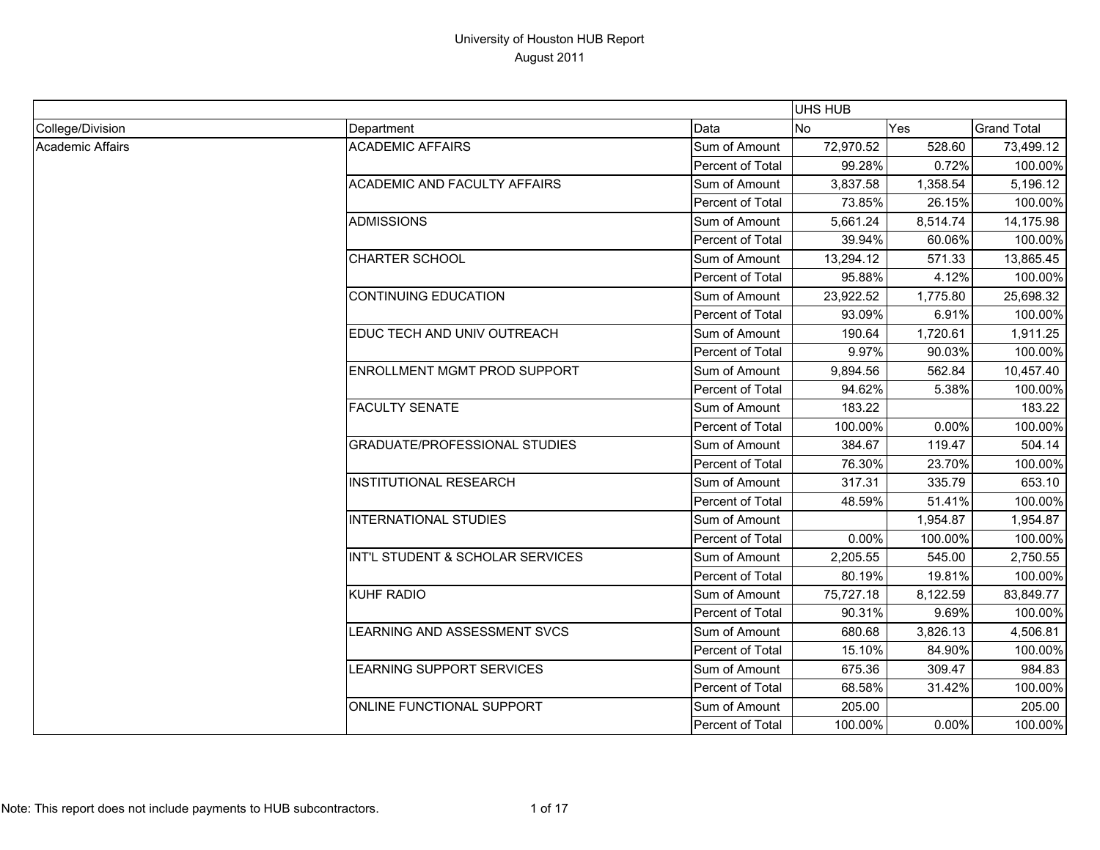|                  |                                      |                  | <b>UHS HUB</b> |          |                    |
|------------------|--------------------------------------|------------------|----------------|----------|--------------------|
| College/Division | Department                           | Data             | <b>No</b>      | Yes      | <b>Grand Total</b> |
| Academic Affairs | <b>ACADEMIC AFFAIRS</b>              | Sum of Amount    | 72,970.52      | 528.60   | 73,499.12          |
|                  |                                      | Percent of Total | 99.28%         | 0.72%    | 100.00%            |
|                  | <b>ACADEMIC AND FACULTY AFFAIRS</b>  | Sum of Amount    | 3,837.58       | 1,358.54 | 5,196.12           |
|                  |                                      | Percent of Total | 73.85%         | 26.15%   | 100.00%            |
|                  | <b>ADMISSIONS</b>                    | Sum of Amount    | 5,661.24       | 8,514.74 | 14,175.98          |
|                  |                                      | Percent of Total | 39.94%         | 60.06%   | 100.00%            |
|                  | <b>CHARTER SCHOOL</b>                | Sum of Amount    | 13,294.12      | 571.33   | 13,865.45          |
|                  |                                      | Percent of Total | 95.88%         | 4.12%    | 100.00%            |
|                  | <b>CONTINUING EDUCATION</b>          | Sum of Amount    | 23,922.52      | 1,775.80 | 25,698.32          |
|                  |                                      | Percent of Total | 93.09%         | 6.91%    | 100.00%            |
|                  | EDUC TECH AND UNIV OUTREACH          | Sum of Amount    | 190.64         | 1,720.61 | 1,911.25           |
|                  |                                      | Percent of Total | 9.97%          | 90.03%   | 100.00%            |
|                  | ENROLLMENT MGMT PROD SUPPORT         | Sum of Amount    | 9,894.56       | 562.84   | 10,457.40          |
|                  |                                      | Percent of Total | 94.62%         | 5.38%    | 100.00%            |
|                  | <b>FACULTY SENATE</b>                | Sum of Amount    | 183.22         |          | 183.22             |
|                  |                                      | Percent of Total | 100.00%        | $0.00\%$ | 100.00%            |
|                  | <b>GRADUATE/PROFESSIONAL STUDIES</b> | Sum of Amount    | 384.67         | 119.47   | 504.14             |
|                  |                                      | Percent of Total | 76.30%         | 23.70%   | 100.00%            |
|                  | <b>INSTITUTIONAL RESEARCH</b>        | Sum of Amount    | 317.31         | 335.79   | 653.10             |
|                  |                                      | Percent of Total | 48.59%         | 51.41%   | 100.00%            |
|                  | <b>INTERNATIONAL STUDIES</b>         | Sum of Amount    |                | 1,954.87 | 1,954.87           |
|                  |                                      | Percent of Total | 0.00%          | 100.00%  | 100.00%            |
|                  | INT'L STUDENT & SCHOLAR SERVICES     | Sum of Amount    | 2,205.55       | 545.00   | 2,750.55           |
|                  |                                      | Percent of Total | 80.19%         | 19.81%   | 100.00%            |
|                  | <b>KUHF RADIO</b>                    | Sum of Amount    | 75,727.18      | 8,122.59 | 83,849.77          |
|                  |                                      | Percent of Total | 90.31%         | 9.69%    | 100.00%            |
|                  | LEARNING AND ASSESSMENT SVCS         | Sum of Amount    | 680.68         | 3,826.13 | 4,506.81           |
|                  |                                      | Percent of Total | 15.10%         | 84.90%   | 100.00%            |
|                  | LEARNING SUPPORT SERVICES            | Sum of Amount    | 675.36         | 309.47   | 984.83             |
|                  |                                      | Percent of Total | 68.58%         | 31.42%   | 100.00%            |
|                  | ONLINE FUNCTIONAL SUPPORT            | Sum of Amount    | 205.00         |          | 205.00             |
|                  |                                      | Percent of Total | 100.00%        | 0.00%    | 100.00%            |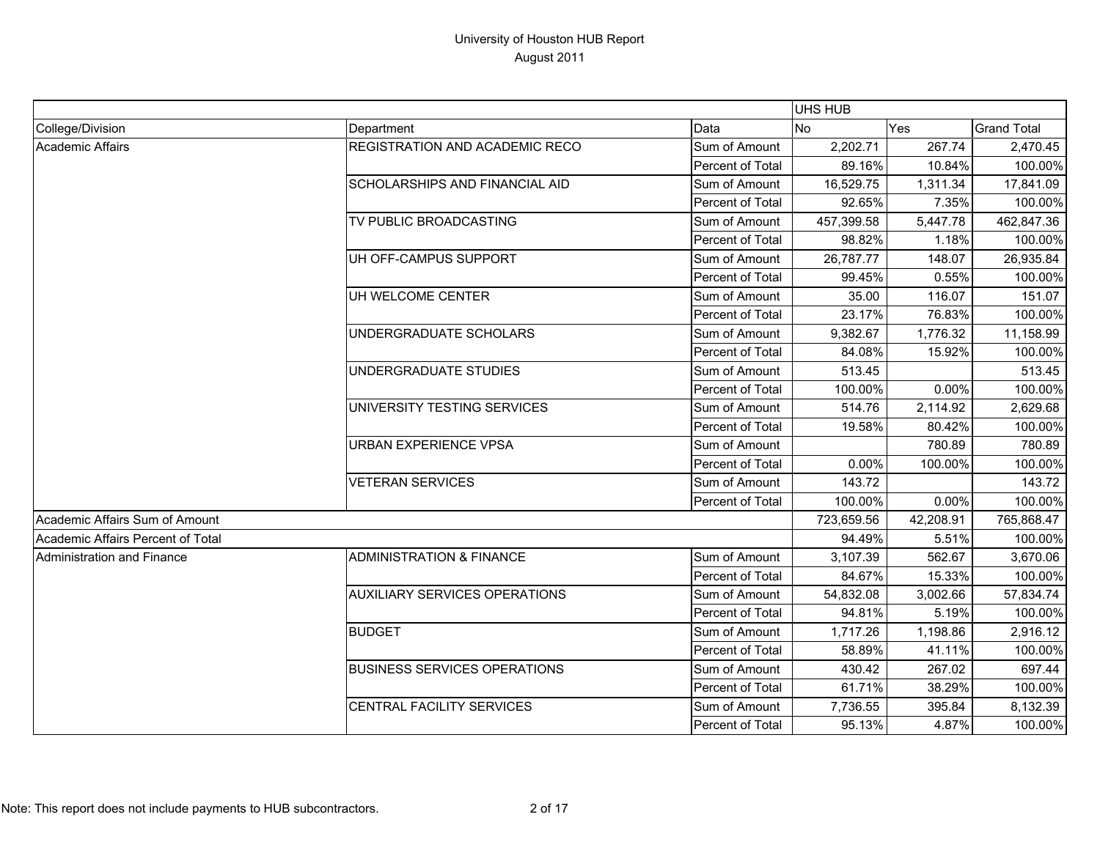|                                   |                                       |                         | UHS HUB    |           |                    |
|-----------------------------------|---------------------------------------|-------------------------|------------|-----------|--------------------|
| College/Division                  | Department                            | Data                    | No         | Yes       | <b>Grand Total</b> |
| Academic Affairs                  | <b>REGISTRATION AND ACADEMIC RECO</b> | Sum of Amount           | 2,202.71   | 267.74    | 2,470.45           |
|                                   |                                       | Percent of Total        | 89.16%     | 10.84%    | 100.00%            |
|                                   | <b>SCHOLARSHIPS AND FINANCIAL AID</b> | Sum of Amount           | 16,529.75  | 1,311.34  | 17,841.09          |
|                                   |                                       | Percent of Total        | 92.65%     | 7.35%     | 100.00%            |
|                                   | TV PUBLIC BROADCASTING                | Sum of Amount           | 457,399.58 | 5,447.78  | 462,847.36         |
|                                   |                                       | Percent of Total        | 98.82%     | 1.18%     | 100.00%            |
|                                   | UH OFF-CAMPUS SUPPORT                 | Sum of Amount           | 26,787.77  | 148.07    | 26,935.84          |
|                                   |                                       | Percent of Total        | 99.45%     | 0.55%     | 100.00%            |
|                                   | UH WELCOME CENTER                     | Sum of Amount           | 35.00      | 116.07    | 151.07             |
|                                   |                                       | Percent of Total        | 23.17%     | 76.83%    | 100.00%            |
|                                   | UNDERGRADUATE SCHOLARS                | Sum of Amount           | 9,382.67   | 1,776.32  | 11,158.99          |
|                                   |                                       | Percent of Total        | 84.08%     | 15.92%    | 100.00%            |
|                                   | UNDERGRADUATE STUDIES                 | Sum of Amount           | 513.45     |           | 513.45             |
|                                   |                                       | Percent of Total        | 100.00%    | 0.00%     | 100.00%            |
|                                   | UNIVERSITY TESTING SERVICES           | Sum of Amount           | 514.76     | 2,114.92  | 2,629.68           |
|                                   |                                       | Percent of Total        | 19.58%     | 80.42%    | 100.00%            |
|                                   | <b>URBAN EXPERIENCE VPSA</b>          | Sum of Amount           |            | 780.89    | 780.89             |
|                                   |                                       | Percent of Total        | 0.00%      | 100.00%   | 100.00%            |
|                                   | <b>VETERAN SERVICES</b>               | Sum of Amount           | 143.72     |           | 143.72             |
|                                   |                                       | Percent of Total        | 100.00%    | 0.00%     | 100.00%            |
| Academic Affairs Sum of Amount    |                                       |                         | 723,659.56 | 42,208.91 | 765,868.47         |
| Academic Affairs Percent of Total |                                       |                         | 94.49%     | 5.51%     | 100.00%            |
| Administration and Finance        | <b>ADMINISTRATION &amp; FINANCE</b>   | Sum of Amount           | 3,107.39   | 562.67    | 3,670.06           |
|                                   |                                       | Percent of Total        | 84.67%     | 15.33%    | 100.00%            |
|                                   | <b>AUXILIARY SERVICES OPERATIONS</b>  | Sum of Amount           | 54,832.08  | 3,002.66  | 57,834.74          |
|                                   |                                       | Percent of Total        | 94.81%     | 5.19%     | 100.00%            |
|                                   | <b>BUDGET</b>                         | Sum of Amount           | 1,717.26   | 1,198.86  | 2,916.12           |
|                                   |                                       | Percent of Total        | 58.89%     | 41.11%    | 100.00%            |
|                                   | <b>BUSINESS SERVICES OPERATIONS</b>   | Sum of Amount           | 430.42     | 267.02    | 697.44             |
|                                   |                                       | Percent of Total        | 61.71%     | 38.29%    | 100.00%            |
|                                   | CENTRAL FACILITY SERVICES             | Sum of Amount           | 7,736.55   | 395.84    | 8,132.39           |
|                                   |                                       | <b>Percent of Total</b> | 95.13%     | 4.87%     | 100.00%            |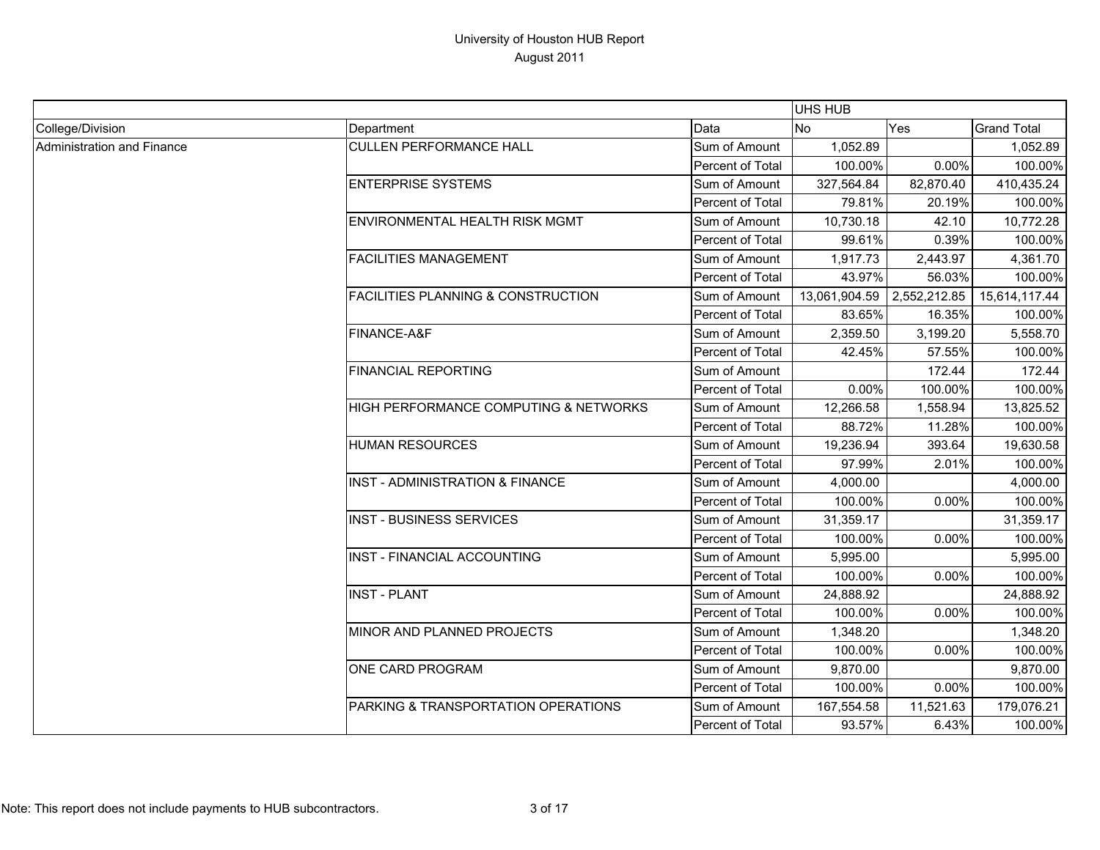|                            |                                               |                  | UHS HUB       |              |                    |
|----------------------------|-----------------------------------------------|------------------|---------------|--------------|--------------------|
| College/Division           | Department                                    | Data             | <b>No</b>     | Yes          | <b>Grand Total</b> |
| Administration and Finance | <b>CULLEN PERFORMANCE HALL</b>                | Sum of Amount    | 1,052.89      |              | 1,052.89           |
|                            |                                               | Percent of Total | 100.00%       | 0.00%        | 100.00%            |
|                            | <b>ENTERPRISE SYSTEMS</b>                     | Sum of Amount    | 327,564.84    | 82,870.40    | 410,435.24         |
|                            |                                               | Percent of Total | 79.81%        | 20.19%       | 100.00%            |
|                            | <b>ENVIRONMENTAL HEALTH RISK MGMT</b>         | Sum of Amount    | 10,730.18     | 42.10        | 10,772.28          |
|                            |                                               | Percent of Total | 99.61%        | 0.39%        | 100.00%            |
|                            | <b>FACILITIES MANAGEMENT</b>                  | Sum of Amount    | 1,917.73      | 2,443.97     | 4,361.70           |
|                            |                                               | Percent of Total | 43.97%        | 56.03%       | 100.00%            |
|                            | <b>FACILITIES PLANNING &amp; CONSTRUCTION</b> | Sum of Amount    | 13,061,904.59 | 2,552,212.85 | 15,614,117.44      |
|                            |                                               | Percent of Total | 83.65%        | 16.35%       | 100.00%            |
|                            | FINANCE-A&F                                   | Sum of Amount    | 2,359.50      | 3,199.20     | 5,558.70           |
|                            |                                               | Percent of Total | 42.45%        | 57.55%       | 100.00%            |
|                            | <b>FINANCIAL REPORTING</b>                    | Sum of Amount    |               | 172.44       | 172.44             |
|                            |                                               | Percent of Total | 0.00%         | 100.00%      | 100.00%            |
|                            | HIGH PERFORMANCE COMPUTING & NETWORKS         | Sum of Amount    | 12,266.58     | 1,558.94     | 13,825.52          |
|                            |                                               | Percent of Total | 88.72%        | 11.28%       | 100.00%            |
|                            | <b>HUMAN RESOURCES</b>                        | Sum of Amount    | 19,236.94     | 393.64       | 19,630.58          |
|                            |                                               | Percent of Total | 97.99%        | 2.01%        | 100.00%            |
|                            | INST - ADMINISTRATION & FINANCE               | Sum of Amount    | 4,000.00      |              | 4,000.00           |
|                            |                                               | Percent of Total | 100.00%       | 0.00%        | 100.00%            |
|                            | <b>INST - BUSINESS SERVICES</b>               | Sum of Amount    | 31,359.17     |              | 31,359.17          |
|                            |                                               | Percent of Total | 100.00%       | 0.00%        | 100.00%            |
|                            | <b>INST - FINANCIAL ACCOUNTING</b>            | Sum of Amount    | 5,995.00      |              | 5,995.00           |
|                            |                                               | Percent of Total | 100.00%       | 0.00%        | 100.00%            |
|                            | <b>INST - PLANT</b>                           | Sum of Amount    | 24,888.92     |              | 24,888.92          |
|                            |                                               | Percent of Total | 100.00%       | 0.00%        | 100.00%            |
|                            | MINOR AND PLANNED PROJECTS                    | Sum of Amount    | 1,348.20      |              | 1,348.20           |
|                            |                                               | Percent of Total | 100.00%       | 0.00%        | 100.00%            |
|                            | ONE CARD PROGRAM                              | Sum of Amount    | 9,870.00      |              | 9,870.00           |
|                            |                                               | Percent of Total | 100.00%       | 0.00%        | 100.00%            |
|                            | PARKING & TRANSPORTATION OPERATIONS           | Sum of Amount    | 167,554.58    | 11,521.63    | 179,076.21         |
|                            |                                               | Percent of Total | 93.57%        | 6.43%        | 100.00%            |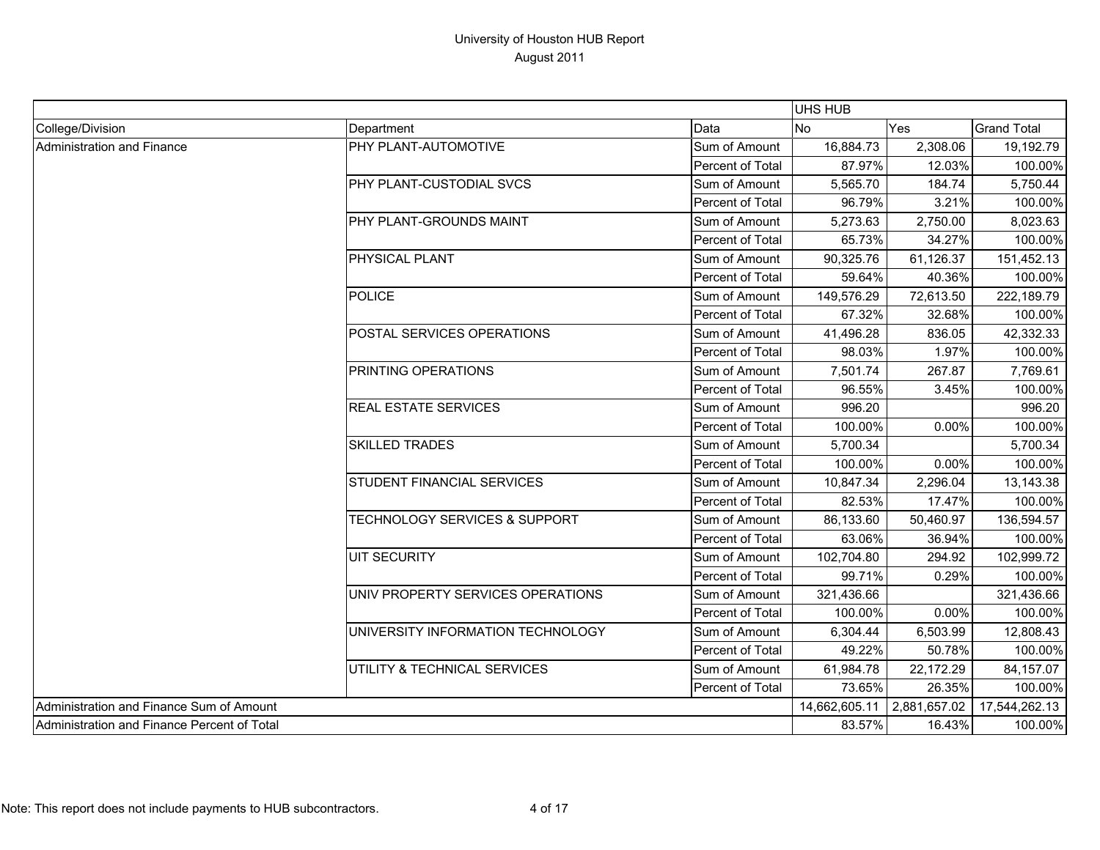|                                             |                                          |                  | UHS HUB       |              |                    |
|---------------------------------------------|------------------------------------------|------------------|---------------|--------------|--------------------|
| College/Division                            | Department                               | Data             | <b>No</b>     | Yes          | <b>Grand Total</b> |
| <b>Administration and Finance</b>           | PHY PLANT-AUTOMOTIVE                     | Sum of Amount    | 16,884.73     | 2,308.06     | 19,192.79          |
|                                             |                                          | Percent of Total | 87.97%        | 12.03%       | 100.00%            |
|                                             | PHY PLANT-CUSTODIAL SVCS                 | Sum of Amount    | 5,565.70      | 184.74       | 5,750.44           |
|                                             |                                          | Percent of Total | 96.79%        | 3.21%        | 100.00%            |
|                                             | PHY PLANT-GROUNDS MAINT                  | Sum of Amount    | 5,273.63      | 2,750.00     | 8,023.63           |
|                                             |                                          | Percent of Total | 65.73%        | 34.27%       | 100.00%            |
|                                             | PHYSICAL PLANT                           | Sum of Amount    | 90,325.76     | 61,126.37    | 151,452.13         |
|                                             |                                          | Percent of Total | 59.64%        | 40.36%       | 100.00%            |
|                                             | <b>POLICE</b>                            | Sum of Amount    | 149,576.29    | 72,613.50    | 222,189.79         |
|                                             |                                          | Percent of Total | 67.32%        | 32.68%       | 100.00%            |
|                                             | POSTAL SERVICES OPERATIONS               | Sum of Amount    | 41,496.28     | 836.05       | 42,332.33          |
|                                             |                                          | Percent of Total | 98.03%        | 1.97%        | 100.00%            |
|                                             | PRINTING OPERATIONS                      | Sum of Amount    | 7,501.74      | 267.87       | 7,769.61           |
|                                             |                                          | Percent of Total | 96.55%        | 3.45%        | 100.00%            |
|                                             | <b>REAL ESTATE SERVICES</b>              | Sum of Amount    | 996.20        |              | 996.20             |
|                                             |                                          | Percent of Total | 100.00%       | 0.00%        | 100.00%            |
|                                             | <b>SKILLED TRADES</b>                    | Sum of Amount    | 5,700.34      |              | 5,700.34           |
|                                             |                                          | Percent of Total | 100.00%       | 0.00%        | 100.00%            |
|                                             | STUDENT FINANCIAL SERVICES               | Sum of Amount    | 10,847.34     | 2,296.04     | 13,143.38          |
|                                             |                                          | Percent of Total | 82.53%        | 17.47%       | 100.00%            |
|                                             | <b>TECHNOLOGY SERVICES &amp; SUPPORT</b> | Sum of Amount    | 86,133.60     | 50,460.97    | 136,594.57         |
|                                             |                                          | Percent of Total | 63.06%        | 36.94%       | 100.00%            |
|                                             | <b>UIT SECURITY</b>                      | Sum of Amount    | 102,704.80    | 294.92       | 102,999.72         |
|                                             |                                          | Percent of Total | 99.71%        | 0.29%        | 100.00%            |
|                                             | UNIV PROPERTY SERVICES OPERATIONS        | Sum of Amount    | 321,436.66    |              | 321,436.66         |
|                                             |                                          | Percent of Total | 100.00%       | 0.00%        | 100.00%            |
|                                             | UNIVERSITY INFORMATION TECHNOLOGY        | Sum of Amount    | 6,304.44      | 6,503.99     | 12,808.43          |
|                                             |                                          | Percent of Total | 49.22%        | 50.78%       | 100.00%            |
|                                             | UTILITY & TECHNICAL SERVICES             | Sum of Amount    | 61,984.78     | 22,172.29    | 84,157.07          |
|                                             |                                          | Percent of Total | 73.65%        | 26.35%       | 100.00%            |
| Administration and Finance Sum of Amount    |                                          |                  | 14,662,605.11 | 2,881,657.02 | 17,544,262.13      |
| Administration and Finance Percent of Total |                                          |                  | 83.57%        | 16.43%       | 100.00%            |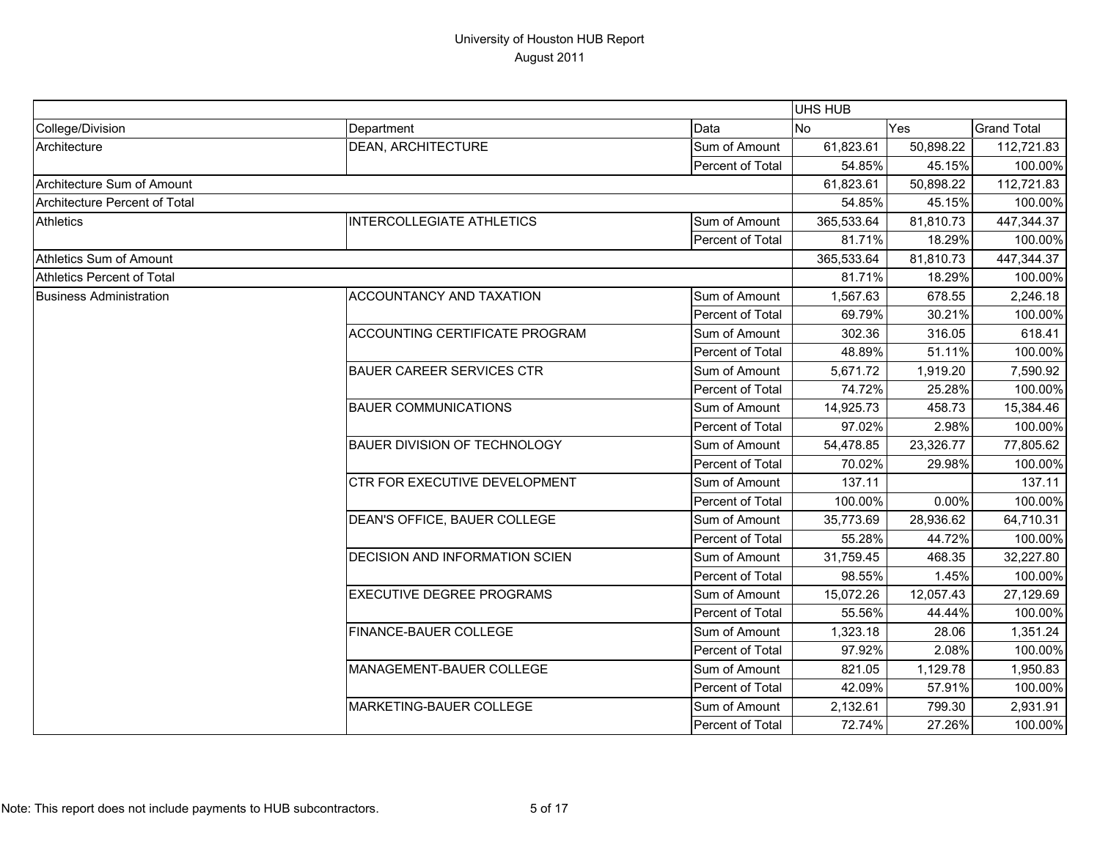|                                |                                       |                  | <b>UHS HUB</b> |           |                    |
|--------------------------------|---------------------------------------|------------------|----------------|-----------|--------------------|
| College/Division               | Department                            | Data             | <b>No</b>      | Yes       | <b>Grand Total</b> |
| Architecture                   | <b>DEAN, ARCHITECTURE</b>             | Sum of Amount    | 61,823.61      | 50,898.22 | 112,721.83         |
|                                |                                       | Percent of Total | 54.85%         | 45.15%    | 100.00%            |
| Architecture Sum of Amount     |                                       |                  | 61,823.61      | 50,898.22 | 112,721.83         |
| Architecture Percent of Total  |                                       |                  | 54.85%         | 45.15%    | 100.00%            |
| <b>Athletics</b>               | <b>INTERCOLLEGIATE ATHLETICS</b>      | Sum of Amount    | 365,533.64     | 81,810.73 | 447,344.37         |
|                                |                                       | Percent of Total | 81.71%         | 18.29%    | 100.00%            |
| Athletics Sum of Amount        |                                       |                  | 365,533.64     | 81,810.73 | 447,344.37         |
| Athletics Percent of Total     |                                       |                  | 81.71%         | 18.29%    | 100.00%            |
| <b>Business Administration</b> | ACCOUNTANCY AND TAXATION              | Sum of Amount    | 1,567.63       | 678.55    | 2,246.18           |
|                                |                                       | Percent of Total | 69.79%         | 30.21%    | 100.00%            |
|                                | <b>ACCOUNTING CERTIFICATE PROGRAM</b> | Sum of Amount    | 302.36         | 316.05    | 618.41             |
|                                |                                       | Percent of Total | 48.89%         | 51.11%    | 100.00%            |
|                                | <b>BAUER CAREER SERVICES CTR</b>      | Sum of Amount    | 5,671.72       | 1,919.20  | 7,590.92           |
|                                |                                       | Percent of Total | 74.72%         | 25.28%    | 100.00%            |
|                                | <b>BAUER COMMUNICATIONS</b>           | Sum of Amount    | 14,925.73      | 458.73    | 15,384.46          |
|                                |                                       | Percent of Total | 97.02%         | 2.98%     | 100.00%            |
|                                | BAUER DIVISION OF TECHNOLOGY          | Sum of Amount    | 54,478.85      | 23,326.77 | 77,805.62          |
|                                |                                       | Percent of Total | 70.02%         | 29.98%    | 100.00%            |
|                                | CTR FOR EXECUTIVE DEVELOPMENT         | Sum of Amount    | 137.11         |           | 137.11             |
|                                |                                       | Percent of Total | 100.00%        | 0.00%     | 100.00%            |
|                                | DEAN'S OFFICE, BAUER COLLEGE          | Sum of Amount    | 35,773.69      | 28,936.62 | 64,710.31          |
|                                |                                       | Percent of Total | 55.28%         | 44.72%    | 100.00%            |
|                                | <b>DECISION AND INFORMATION SCIEN</b> | Sum of Amount    | 31,759.45      | 468.35    | 32,227.80          |
|                                |                                       | Percent of Total | 98.55%         | 1.45%     | 100.00%            |
|                                | <b>EXECUTIVE DEGREE PROGRAMS</b>      | Sum of Amount    | 15,072.26      | 12,057.43 | 27,129.69          |
|                                |                                       | Percent of Total | 55.56%         | 44.44%    | 100.00%            |
|                                | FINANCE-BAUER COLLEGE                 | Sum of Amount    | 1,323.18       | 28.06     | 1,351.24           |
|                                |                                       | Percent of Total | 97.92%         | 2.08%     | 100.00%            |
|                                | MANAGEMENT-BAUER COLLEGE              | Sum of Amount    | 821.05         | 1,129.78  | 1,950.83           |
|                                |                                       | Percent of Total | 42.09%         | 57.91%    | 100.00%            |
|                                | MARKETING-BAUER COLLEGE               | Sum of Amount    | 2,132.61       | 799.30    | 2,931.91           |
|                                |                                       | Percent of Total | 72.74%         | 27.26%    | 100.00%            |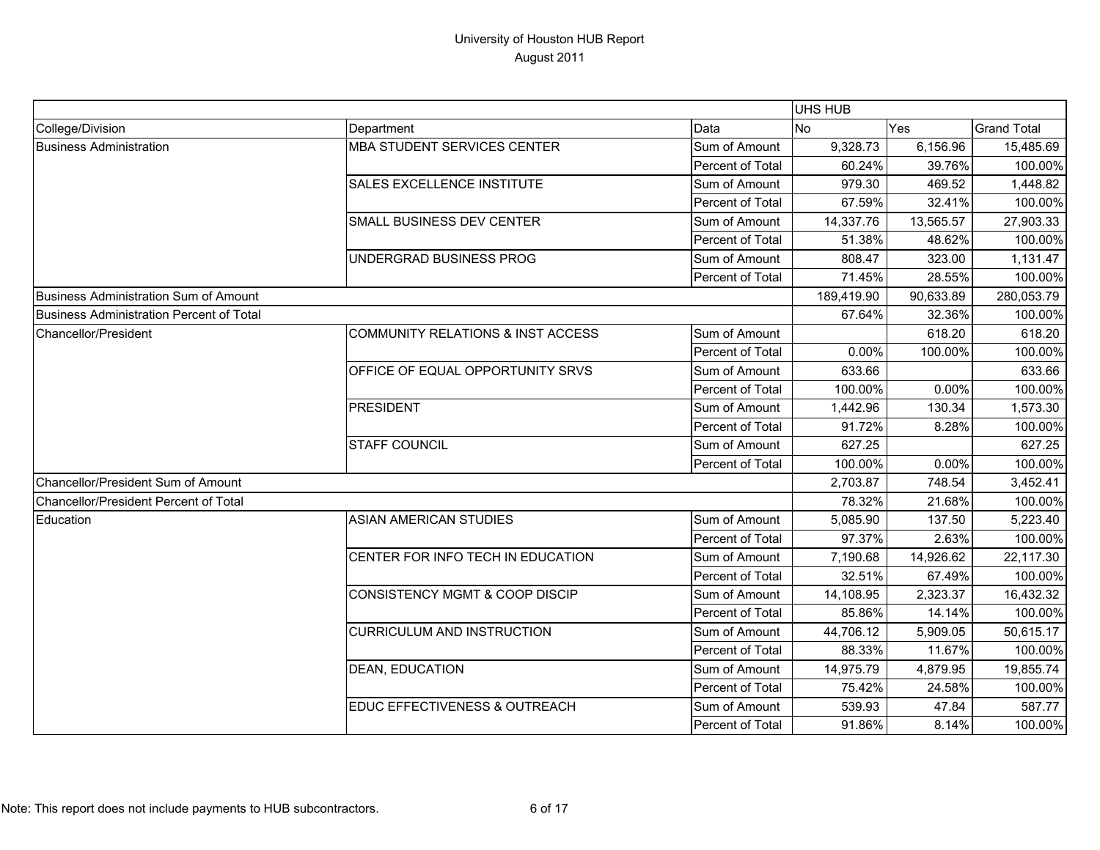|                                              |                                              |                  | UHS HUB    |           |                    |
|----------------------------------------------|----------------------------------------------|------------------|------------|-----------|--------------------|
| College/Division                             | Department                                   | Data             | <b>No</b>  | Yes       | <b>Grand Total</b> |
| <b>Business Administration</b>               | <b>MBA STUDENT SERVICES CENTER</b>           | Sum of Amount    | 9,328.73   | 6,156.96  | 15,485.69          |
|                                              |                                              | Percent of Total | 60.24%     | 39.76%    | 100.00%            |
|                                              | <b>SALES EXCELLENCE INSTITUTE</b>            | Sum of Amount    | 979.30     | 469.52    | 1,448.82           |
|                                              |                                              | Percent of Total | 67.59%     | 32.41%    | 100.00%            |
|                                              | SMALL BUSINESS DEV CENTER                    | Sum of Amount    | 14,337.76  | 13,565.57 | 27,903.33          |
|                                              |                                              | Percent of Total | 51.38%     | 48.62%    | 100.00%            |
|                                              | UNDERGRAD BUSINESS PROG                      | Sum of Amount    | 808.47     | 323.00    | 1,131.47           |
|                                              |                                              | Percent of Total | 71.45%     | 28.55%    | 100.00%            |
| Business Administration Sum of Amount        |                                              |                  | 189,419.90 | 90,633.89 | 280,053.79         |
| Business Administration Percent of Total     |                                              |                  | 67.64%     | 32.36%    | 100.00%            |
| Chancellor/President                         | <b>COMMUNITY RELATIONS &amp; INST ACCESS</b> | Sum of Amount    |            | 618.20    | 618.20             |
|                                              |                                              | Percent of Total | 0.00%      | 100.00%   | 100.00%            |
|                                              | OFFICE OF EQUAL OPPORTUNITY SRVS             | Sum of Amount    | 633.66     |           | 633.66             |
|                                              |                                              | Percent of Total | 100.00%    | 0.00%     | 100.00%            |
|                                              | PRESIDENT                                    | Sum of Amount    | 1,442.96   | 130.34    | 1,573.30           |
|                                              |                                              | Percent of Total | 91.72%     | 8.28%     | 100.00%            |
|                                              | <b>STAFF COUNCIL</b>                         | Sum of Amount    | 627.25     |           | 627.25             |
|                                              |                                              | Percent of Total | 100.00%    | 0.00%     | 100.00%            |
| Chancellor/President Sum of Amount           |                                              |                  | 2,703.87   | 748.54    | 3,452.41           |
| <b>Chancellor/President Percent of Total</b> |                                              |                  | 78.32%     | 21.68%    | 100.00%            |
| Education                                    | <b>ASIAN AMERICAN STUDIES</b>                | Sum of Amount    | 5,085.90   | 137.50    | 5,223.40           |
|                                              |                                              | Percent of Total | 97.37%     | 2.63%     | 100.00%            |
|                                              | CENTER FOR INFO TECH IN EDUCATION            | Sum of Amount    | 7,190.68   | 14,926.62 | 22,117.30          |
|                                              |                                              | Percent of Total | 32.51%     | 67.49%    | 100.00%            |
|                                              | <b>CONSISTENCY MGMT &amp; COOP DISCIP</b>    | Sum of Amount    | 14,108.95  | 2,323.37  | 16,432.32          |
|                                              |                                              | Percent of Total | 85.86%     | 14.14%    | 100.00%            |
|                                              | CURRICULUM AND INSTRUCTION                   | Sum of Amount    | 44,706.12  | 5,909.05  | 50,615.17          |
|                                              |                                              | Percent of Total | 88.33%     | 11.67%    | 100.00%            |
|                                              | <b>DEAN, EDUCATION</b>                       | Sum of Amount    | 14,975.79  | 4,879.95  | 19,855.74          |
|                                              |                                              | Percent of Total | 75.42%     | 24.58%    | 100.00%            |
|                                              | EDUC EFFECTIVENESS & OUTREACH                | Sum of Amount    | 539.93     | 47.84     | 587.77             |
|                                              |                                              | Percent of Total | 91.86%     | 8.14%     | 100.00%            |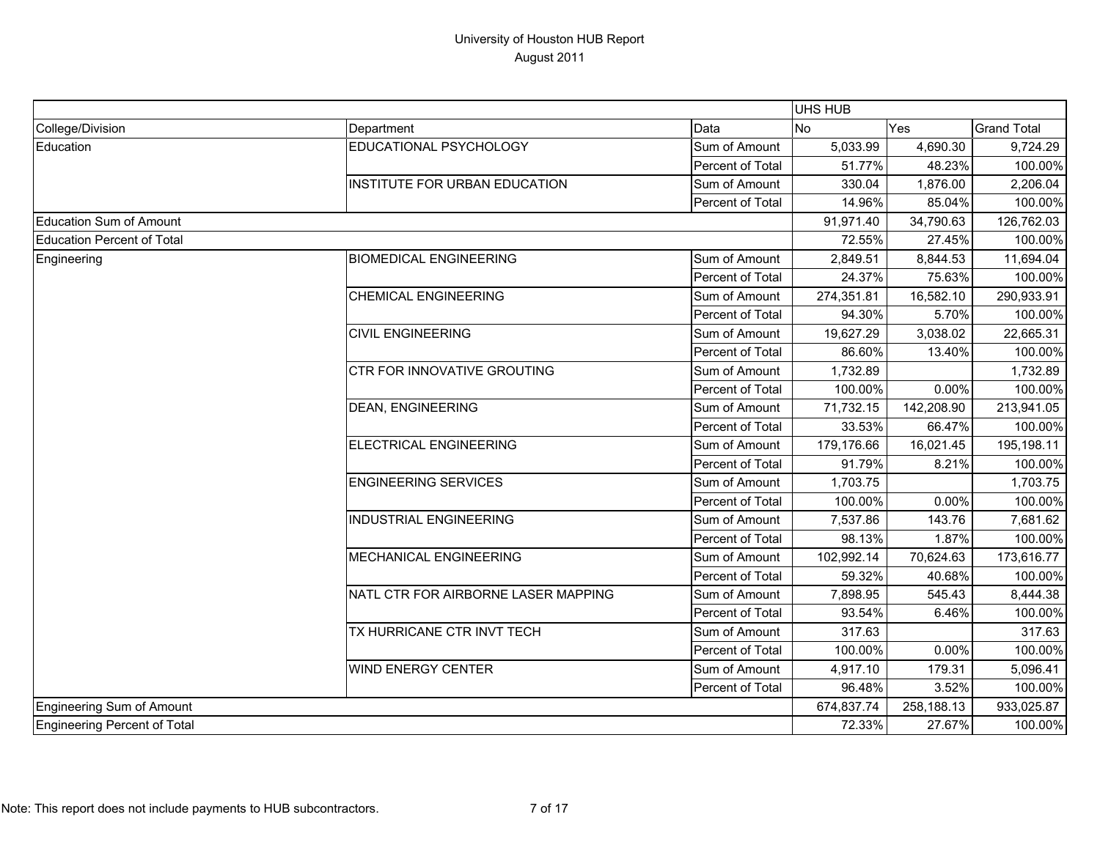|                              |                                      |                  | UHS HUB    |            |                    |
|------------------------------|--------------------------------------|------------------|------------|------------|--------------------|
| College/Division             | Department                           | Data             | No         | Yes        | <b>Grand Total</b> |
| Education                    | EDUCATIONAL PSYCHOLOGY               | Sum of Amount    | 5,033.99   | 4,690.30   | 9,724.29           |
|                              |                                      | Percent of Total | 51.77%     | 48.23%     | 100.00%            |
|                              | <b>INSTITUTE FOR URBAN EDUCATION</b> | Sum of Amount    | 330.04     | 1,876.00   | 2,206.04           |
|                              |                                      | Percent of Total | 14.96%     | 85.04%     | 100.00%            |
| Education Sum of Amount      |                                      |                  | 91,971.40  | 34,790.63  | 126,762.03         |
| Education Percent of Total   |                                      |                  | 72.55%     | 27.45%     | 100.00%            |
| Engineering                  | <b>BIOMEDICAL ENGINEERING</b>        | Sum of Amount    | 2,849.51   | 8,844.53   | 11,694.04          |
|                              |                                      | Percent of Total | 24.37%     | 75.63%     | 100.00%            |
|                              | <b>CHEMICAL ENGINEERING</b>          | Sum of Amount    | 274,351.81 | 16,582.10  | 290,933.91         |
|                              |                                      | Percent of Total | 94.30%     | 5.70%      | 100.00%            |
|                              | <b>CIVIL ENGINEERING</b>             | Sum of Amount    | 19,627.29  | 3,038.02   | 22,665.31          |
|                              |                                      | Percent of Total | 86.60%     | 13.40%     | 100.00%            |
|                              | CTR FOR INNOVATIVE GROUTING          | Sum of Amount    | 1,732.89   |            | 1,732.89           |
|                              |                                      | Percent of Total | 100.00%    | 0.00%      | 100.00%            |
|                              | <b>DEAN, ENGINEERING</b>             | Sum of Amount    | 71,732.15  | 142,208.90 | 213,941.05         |
|                              |                                      | Percent of Total | 33.53%     | 66.47%     | 100.00%            |
|                              | ELECTRICAL ENGINEERING               | Sum of Amount    | 179,176.66 | 16,021.45  | 195,198.11         |
|                              |                                      | Percent of Total | 91.79%     | 8.21%      | 100.00%            |
|                              | <b>ENGINEERING SERVICES</b>          | Sum of Amount    | 1,703.75   |            | 1,703.75           |
|                              |                                      | Percent of Total | 100.00%    | 0.00%      | 100.00%            |
|                              | <b>INDUSTRIAL ENGINEERING</b>        | Sum of Amount    | 7,537.86   | 143.76     | 7,681.62           |
|                              |                                      | Percent of Total | 98.13%     | 1.87%      | 100.00%            |
|                              | <b>MECHANICAL ENGINEERING</b>        | Sum of Amount    | 102,992.14 | 70,624.63  | 173,616.77         |
|                              |                                      | Percent of Total | 59.32%     | 40.68%     | 100.00%            |
|                              | NATL CTR FOR AIRBORNE LASER MAPPING  | Sum of Amount    | 7,898.95   | 545.43     | 8,444.38           |
|                              |                                      | Percent of Total | 93.54%     | 6.46%      | 100.00%            |
|                              | TX HURRICANE CTR INVT TECH           | Sum of Amount    | 317.63     |            | 317.63             |
|                              |                                      | Percent of Total | 100.00%    | 0.00%      | 100.00%            |
|                              | <b>WIND ENERGY CENTER</b>            | Sum of Amount    | 4,917.10   | 179.31     | 5,096.41           |
|                              |                                      | Percent of Total | 96.48%     | 3.52%      | 100.00%            |
| Engineering Sum of Amount    |                                      |                  | 674,837.74 | 258,188.13 | 933,025.87         |
| Engineering Percent of Total |                                      |                  | 72.33%     | 27.67%     | 100.00%            |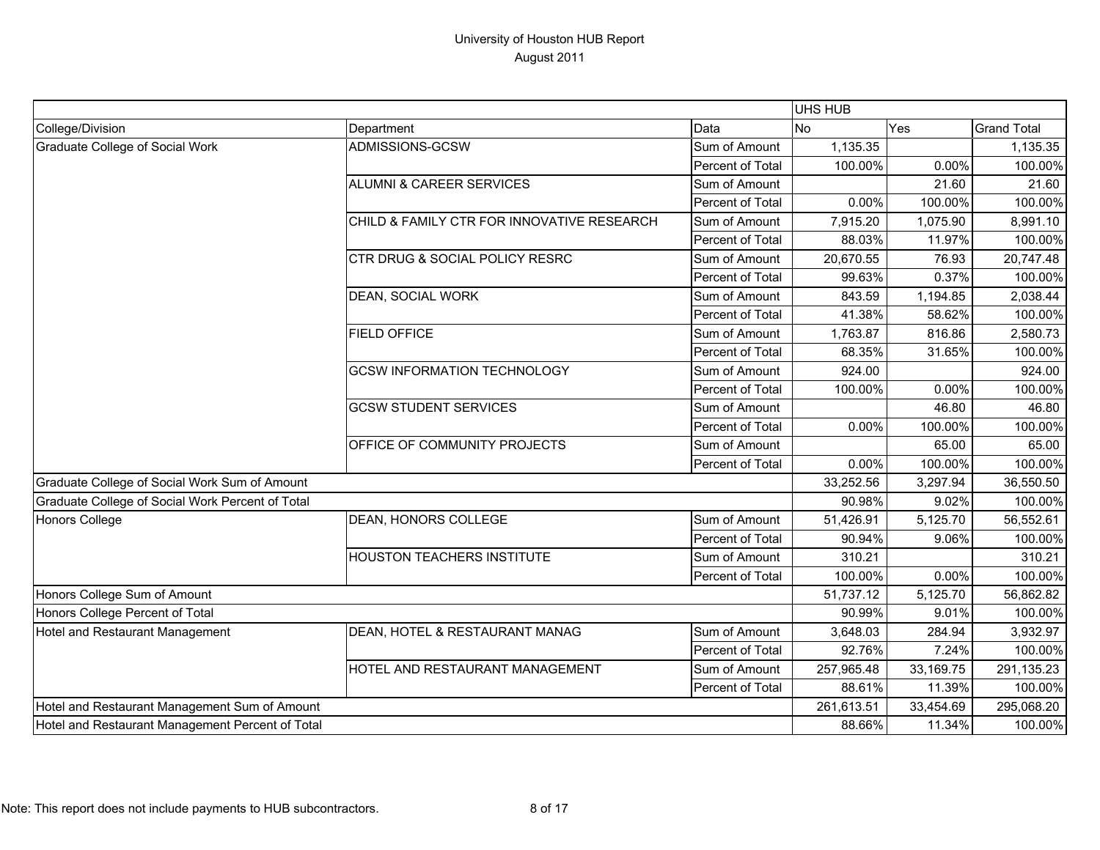|                                                  |                                            |                  | <b>UHS HUB</b> |           |                    |
|--------------------------------------------------|--------------------------------------------|------------------|----------------|-----------|--------------------|
| College/Division                                 | Department                                 | Data             | <b>No</b>      | Yes       | <b>Grand Total</b> |
| <b>Graduate College of Social Work</b>           | ADMISSIONS-GCSW                            | Sum of Amount    | 1,135.35       |           | 1,135.35           |
|                                                  |                                            | Percent of Total | 100.00%        | 0.00%     | 100.00%            |
|                                                  | <b>ALUMNI &amp; CAREER SERVICES</b>        | Sum of Amount    |                | 21.60     | 21.60              |
|                                                  |                                            | Percent of Total | 0.00%          | 100.00%   | 100.00%            |
|                                                  | CHILD & FAMILY CTR FOR INNOVATIVE RESEARCH | Sum of Amount    | 7,915.20       | 1,075.90  | 8,991.10           |
|                                                  |                                            | Percent of Total | 88.03%         | 11.97%    | 100.00%            |
|                                                  | CTR DRUG & SOCIAL POLICY RESRC             | Sum of Amount    | 20,670.55      | 76.93     | 20,747.48          |
|                                                  |                                            | Percent of Total | 99.63%         | 0.37%     | 100.00%            |
|                                                  | DEAN, SOCIAL WORK                          | Sum of Amount    | 843.59         | 1,194.85  | 2,038.44           |
|                                                  |                                            | Percent of Total | 41.38%         | 58.62%    | 100.00%            |
|                                                  | <b>FIELD OFFICE</b>                        | Sum of Amount    | 1,763.87       | 816.86    | 2,580.73           |
|                                                  |                                            | Percent of Total | 68.35%         | 31.65%    | 100.00%            |
|                                                  | <b>GCSW INFORMATION TECHNOLOGY</b>         | Sum of Amount    | 924.00         |           | 924.00             |
|                                                  |                                            | Percent of Total | 100.00%        | 0.00%     | 100.00%            |
|                                                  | <b>GCSW STUDENT SERVICES</b>               | Sum of Amount    |                | 46.80     | 46.80              |
|                                                  |                                            | Percent of Total | 0.00%          | 100.00%   | 100.00%            |
|                                                  | OFFICE OF COMMUNITY PROJECTS               | Sum of Amount    |                | 65.00     | 65.00              |
|                                                  |                                            | Percent of Total | 0.00%          | 100.00%   | 100.00%            |
| Graduate College of Social Work Sum of Amount    |                                            |                  | 33,252.56      | 3,297.94  | 36,550.50          |
| Graduate College of Social Work Percent of Total |                                            |                  | 90.98%         | 9.02%     | 100.00%            |
| <b>Honors College</b>                            | DEAN, HONORS COLLEGE                       | Sum of Amount    | 51,426.91      | 5,125.70  | 56,552.61          |
|                                                  |                                            | Percent of Total | 90.94%         | 9.06%     | 100.00%            |
|                                                  | <b>HOUSTON TEACHERS INSTITUTE</b>          | Sum of Amount    | 310.21         |           | 310.21             |
|                                                  |                                            | Percent of Total | 100.00%        | 0.00%     | 100.00%            |
| Honors College Sum of Amount                     |                                            |                  | 51,737.12      | 5,125.70  | 56,862.82          |
| Honors College Percent of Total                  |                                            |                  | 90.99%         | 9.01%     | 100.00%            |
| Hotel and Restaurant Management                  | DEAN, HOTEL & RESTAURANT MANAG             | Sum of Amount    | 3,648.03       | 284.94    | 3,932.97           |
|                                                  |                                            | Percent of Total | 92.76%         | 7.24%     | 100.00%            |
|                                                  | HOTEL AND RESTAURANT MANAGEMENT            | Sum of Amount    | 257,965.48     | 33,169.75 | 291,135.23         |
|                                                  |                                            | Percent of Total | 88.61%         | 11.39%    | 100.00%            |
| Hotel and Restaurant Management Sum of Amount    |                                            |                  | 261,613.51     | 33,454.69 | 295,068.20         |
| Hotel and Restaurant Management Percent of Total |                                            | 88.66%           | 11.34%         | 100.00%   |                    |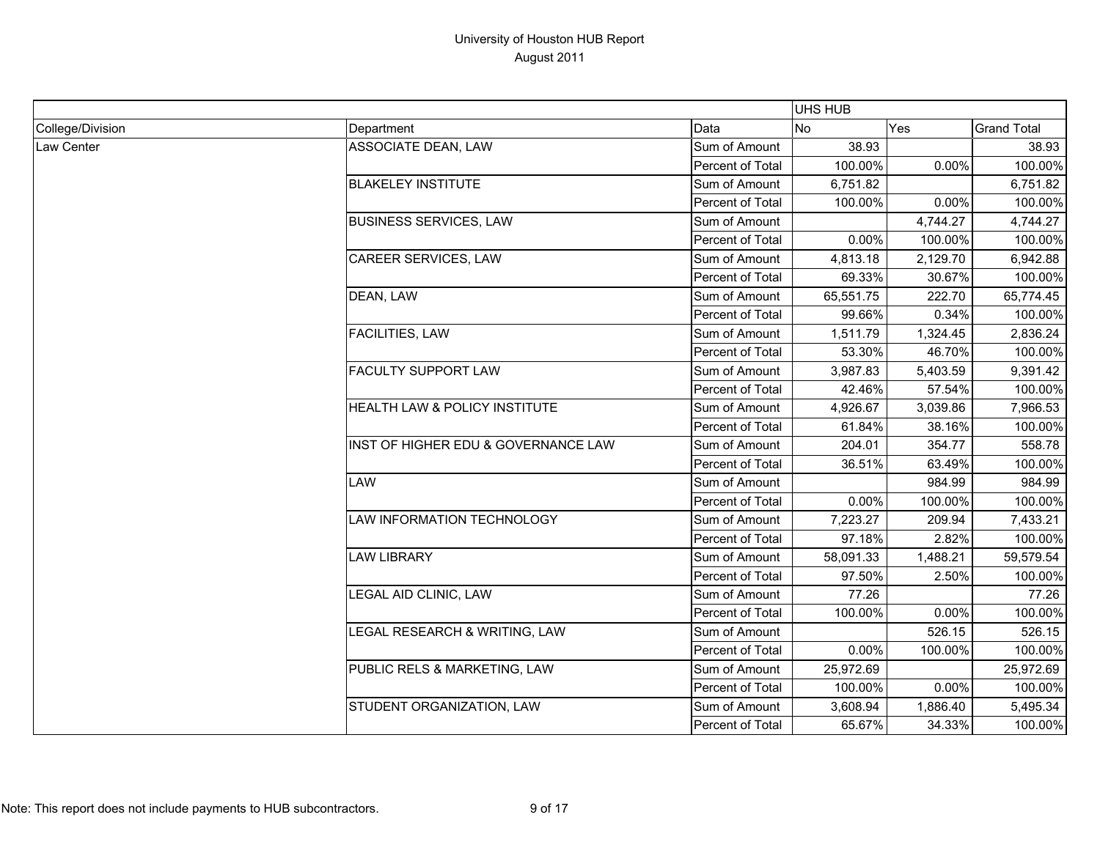|                  |                                     |                  | <b>UHS HUB</b> |          |                    |
|------------------|-------------------------------------|------------------|----------------|----------|--------------------|
| College/Division | Department                          | Data             | <b>No</b>      | Yes      | <b>Grand Total</b> |
| Law Center       | ASSOCIATE DEAN, LAW                 | Sum of Amount    | 38.93          |          | 38.93              |
|                  |                                     | Percent of Total | 100.00%        | 0.00%    | 100.00%            |
|                  | <b>BLAKELEY INSTITUTE</b>           | Sum of Amount    | 6,751.82       |          | 6,751.82           |
|                  |                                     | Percent of Total | 100.00%        | 0.00%    | 100.00%            |
|                  | <b>BUSINESS SERVICES, LAW</b>       | Sum of Amount    |                | 4,744.27 | 4,744.27           |
|                  |                                     | Percent of Total | 0.00%          | 100.00%  | 100.00%            |
|                  | <b>CAREER SERVICES, LAW</b>         | Sum of Amount    | 4,813.18       | 2,129.70 | 6,942.88           |
|                  |                                     | Percent of Total | 69.33%         | 30.67%   | 100.00%            |
|                  | DEAN, LAW                           | Sum of Amount    | 65,551.75      | 222.70   | 65,774.45          |
|                  |                                     | Percent of Total | 99.66%         | 0.34%    | 100.00%            |
|                  | <b>FACILITIES, LAW</b>              | Sum of Amount    | 1,511.79       | 1,324.45 | 2,836.24           |
|                  |                                     | Percent of Total | 53.30%         | 46.70%   | 100.00%            |
|                  | <b>FACULTY SUPPORT LAW</b>          | Sum of Amount    | 3,987.83       | 5,403.59 | 9,391.42           |
|                  |                                     | Percent of Total | 42.46%         | 57.54%   | 100.00%            |
|                  | HEALTH LAW & POLICY INSTITUTE       | Sum of Amount    | 4,926.67       | 3,039.86 | 7,966.53           |
|                  |                                     | Percent of Total | 61.84%         | 38.16%   | 100.00%            |
|                  | INST OF HIGHER EDU & GOVERNANCE LAW | Sum of Amount    | 204.01         | 354.77   | 558.78             |
|                  |                                     | Percent of Total | 36.51%         | 63.49%   | 100.00%            |
|                  | LAW                                 | Sum of Amount    |                | 984.99   | 984.99             |
|                  |                                     | Percent of Total | $0.00\%$       | 100.00%  | 100.00%            |
|                  | LAW INFORMATION TECHNOLOGY          | Sum of Amount    | 7,223.27       | 209.94   | 7,433.21           |
|                  |                                     | Percent of Total | 97.18%         | 2.82%    | 100.00%            |
|                  | <b>LAW LIBRARY</b>                  | Sum of Amount    | 58,091.33      | 1,488.21 | 59,579.54          |
|                  |                                     | Percent of Total | 97.50%         | 2.50%    | 100.00%            |
|                  | LEGAL AID CLINIC, LAW               | Sum of Amount    | 77.26          |          | 77.26              |
|                  |                                     | Percent of Total | 100.00%        | 0.00%    | 100.00%            |
|                  | LEGAL RESEARCH & WRITING, LAW       | Sum of Amount    |                | 526.15   | 526.15             |
|                  |                                     | Percent of Total | 0.00%          | 100.00%  | 100.00%            |
|                  | PUBLIC RELS & MARKETING, LAW        | Sum of Amount    | 25,972.69      |          | 25,972.69          |
|                  |                                     | Percent of Total | 100.00%        | 0.00%    | 100.00%            |
|                  | STUDENT ORGANIZATION, LAW           | Sum of Amount    | 3,608.94       | 1,886.40 | 5,495.34           |
|                  |                                     | Percent of Total | 65.67%         | 34.33%   | 100.00%            |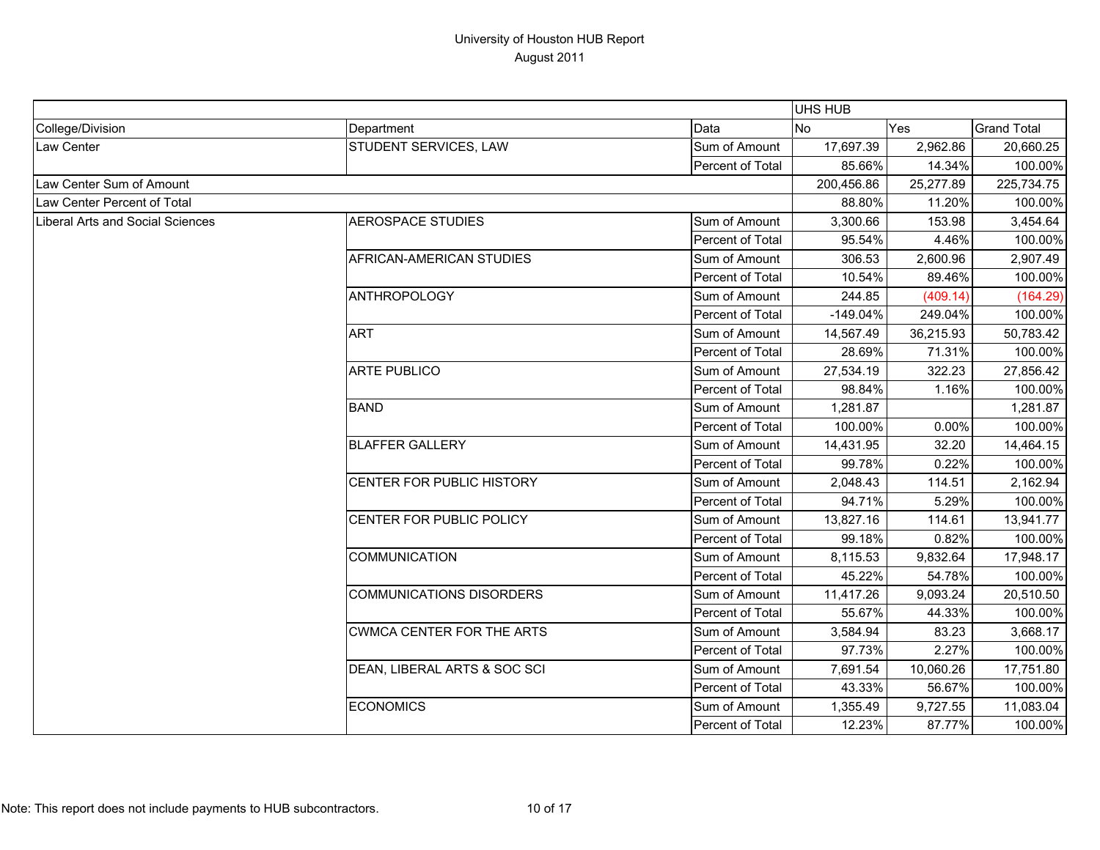|                                         |                                  |                  | UHS HUB    |           |                    |
|-----------------------------------------|----------------------------------|------------------|------------|-----------|--------------------|
| College/Division                        | Department                       | Data             | <b>No</b>  | Yes       | <b>Grand Total</b> |
| Law Center                              | STUDENT SERVICES, LAW            | Sum of Amount    | 17,697.39  | 2,962.86  | 20,660.25          |
|                                         |                                  | Percent of Total | 85.66%     | 14.34%    | 100.00%            |
| Law Center Sum of Amount                |                                  |                  | 200,456.86 | 25,277.89 | 225,734.75         |
| Law Center Percent of Total             |                                  |                  | 88.80%     | 11.20%    | 100.00%            |
| <b>Liberal Arts and Social Sciences</b> | <b>AEROSPACE STUDIES</b>         | Sum of Amount    | 3,300.66   | 153.98    | 3,454.64           |
|                                         |                                  | Percent of Total | 95.54%     | 4.46%     | 100.00%            |
|                                         | AFRICAN-AMERICAN STUDIES         | Sum of Amount    | 306.53     | 2,600.96  | 2,907.49           |
|                                         |                                  | Percent of Total | 10.54%     | 89.46%    | 100.00%            |
|                                         | <b>ANTHROPOLOGY</b>              | Sum of Amount    | 244.85     | (409.14)  | (164.29)           |
|                                         |                                  | Percent of Total | $-149.04%$ | 249.04%   | 100.00%            |
|                                         | <b>ART</b>                       | Sum of Amount    | 14,567.49  | 36,215.93 | 50,783.42          |
|                                         |                                  | Percent of Total | 28.69%     | 71.31%    | 100.00%            |
|                                         | <b>ARTE PUBLICO</b>              | Sum of Amount    | 27,534.19  | 322.23    | 27,856.42          |
|                                         |                                  | Percent of Total | 98.84%     | 1.16%     | 100.00%            |
|                                         | <b>BAND</b>                      | Sum of Amount    | 1,281.87   |           | 1,281.87           |
|                                         |                                  | Percent of Total | 100.00%    | 0.00%     | 100.00%            |
|                                         | <b>BLAFFER GALLERY</b>           | Sum of Amount    | 14,431.95  | 32.20     | 14,464.15          |
|                                         |                                  | Percent of Total | 99.78%     | 0.22%     | 100.00%            |
|                                         | CENTER FOR PUBLIC HISTORY        | Sum of Amount    | 2,048.43   | 114.51    | 2,162.94           |
|                                         |                                  | Percent of Total | 94.71%     | 5.29%     | 100.00%            |
|                                         | CENTER FOR PUBLIC POLICY         | Sum of Amount    | 13,827.16  | 114.61    | 13,941.77          |
|                                         |                                  | Percent of Total | 99.18%     | 0.82%     | 100.00%            |
|                                         | <b>COMMUNICATION</b>             | Sum of Amount    | 8,115.53   | 9,832.64  | 17,948.17          |
|                                         |                                  | Percent of Total | 45.22%     | 54.78%    | 100.00%            |
|                                         | <b>COMMUNICATIONS DISORDERS</b>  | Sum of Amount    | 11,417.26  | 9,093.24  | 20,510.50          |
|                                         |                                  | Percent of Total | 55.67%     | 44.33%    | 100.00%            |
|                                         | <b>CWMCA CENTER FOR THE ARTS</b> | Sum of Amount    | 3,584.94   | 83.23     | 3,668.17           |
|                                         |                                  | Percent of Total | 97.73%     | 2.27%     | 100.00%            |
|                                         | DEAN, LIBERAL ARTS & SOC SCI     | Sum of Amount    | 7,691.54   | 10,060.26 | 17,751.80          |
|                                         |                                  | Percent of Total | 43.33%     | 56.67%    | 100.00%            |
|                                         | <b>ECONOMICS</b>                 | Sum of Amount    | 1,355.49   | 9,727.55  | 11,083.04          |
|                                         |                                  | Percent of Total | 12.23%     | 87.77%    | 100.00%            |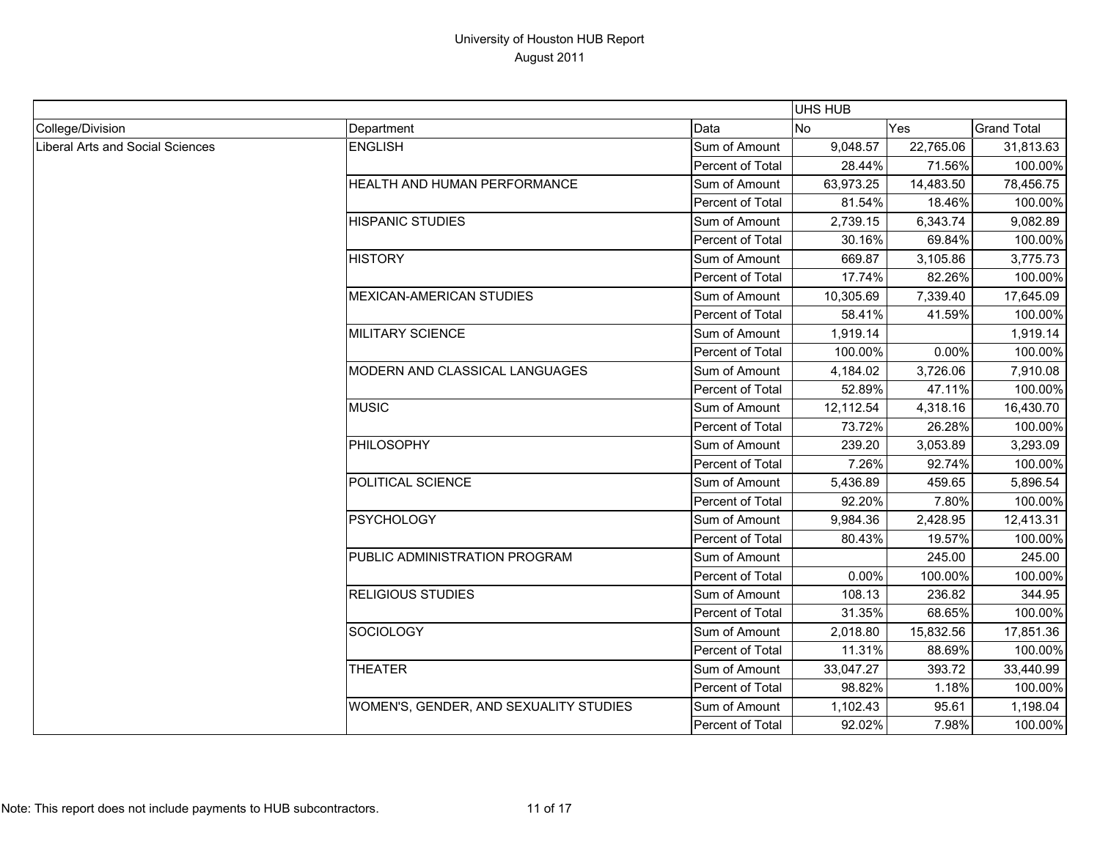|                                  |                                        |                  | <b>UHS HUB</b> |           |                    |
|----------------------------------|----------------------------------------|------------------|----------------|-----------|--------------------|
| College/Division                 | Department                             | Data             | No             | Yes       | <b>Grand Total</b> |
| Liberal Arts and Social Sciences | <b>ENGLISH</b>                         | Sum of Amount    | 9,048.57       | 22,765.06 | 31,813.63          |
|                                  |                                        | Percent of Total | 28.44%         | 71.56%    | 100.00%            |
|                                  | HEALTH AND HUMAN PERFORMANCE           | Sum of Amount    | 63,973.25      | 14,483.50 | 78,456.75          |
|                                  |                                        | Percent of Total | 81.54%         | 18.46%    | 100.00%            |
|                                  | <b>HISPANIC STUDIES</b>                | Sum of Amount    | 2,739.15       | 6,343.74  | 9,082.89           |
|                                  |                                        | Percent of Total | 30.16%         | 69.84%    | 100.00%            |
|                                  | <b>HISTORY</b>                         | Sum of Amount    | 669.87         | 3,105.86  | 3,775.73           |
|                                  |                                        | Percent of Total | 17.74%         | 82.26%    | 100.00%            |
|                                  | <b>MEXICAN-AMERICAN STUDIES</b>        | Sum of Amount    | 10,305.69      | 7,339.40  | 17,645.09          |
|                                  |                                        | Percent of Total | 58.41%         | 41.59%    | 100.00%            |
|                                  | <b>MILITARY SCIENCE</b>                | Sum of Amount    | 1,919.14       |           | 1,919.14           |
|                                  |                                        | Percent of Total | 100.00%        | 0.00%     | 100.00%            |
|                                  | MODERN AND CLASSICAL LANGUAGES         | Sum of Amount    | 4,184.02       | 3,726.06  | 7,910.08           |
|                                  |                                        | Percent of Total | 52.89%         | 47.11%    | 100.00%            |
|                                  | <b>MUSIC</b>                           | Sum of Amount    | 12,112.54      | 4,318.16  | 16,430.70          |
|                                  |                                        | Percent of Total | 73.72%         | 26.28%    | 100.00%            |
|                                  | PHILOSOPHY                             | Sum of Amount    | 239.20         | 3,053.89  | 3,293.09           |
|                                  |                                        | Percent of Total | 7.26%          | 92.74%    | 100.00%            |
|                                  | POLITICAL SCIENCE                      | Sum of Amount    | 5,436.89       | 459.65    | 5,896.54           |
|                                  |                                        | Percent of Total | 92.20%         | 7.80%     | 100.00%            |
|                                  | <b>PSYCHOLOGY</b>                      | Sum of Amount    | 9,984.36       | 2,428.95  | 12,413.31          |
|                                  |                                        | Percent of Total | 80.43%         | 19.57%    | 100.00%            |
|                                  | PUBLIC ADMINISTRATION PROGRAM          | Sum of Amount    |                | 245.00    | 245.00             |
|                                  |                                        | Percent of Total | 0.00%          | 100.00%   | 100.00%            |
|                                  | <b>RELIGIOUS STUDIES</b>               | Sum of Amount    | 108.13         | 236.82    | 344.95             |
|                                  |                                        | Percent of Total | 31.35%         | 68.65%    | 100.00%            |
|                                  | <b>SOCIOLOGY</b>                       | Sum of Amount    | 2,018.80       | 15,832.56 | 17,851.36          |
|                                  |                                        | Percent of Total | 11.31%         | 88.69%    | 100.00%            |
|                                  | <b>THEATER</b>                         | Sum of Amount    | 33,047.27      | 393.72    | 33,440.99          |
|                                  |                                        | Percent of Total | 98.82%         | 1.18%     | 100.00%            |
|                                  | WOMEN'S, GENDER, AND SEXUALITY STUDIES | Sum of Amount    | 1,102.43       | 95.61     | 1,198.04           |
|                                  |                                        | Percent of Total | 92.02%         | 7.98%     | 100.00%            |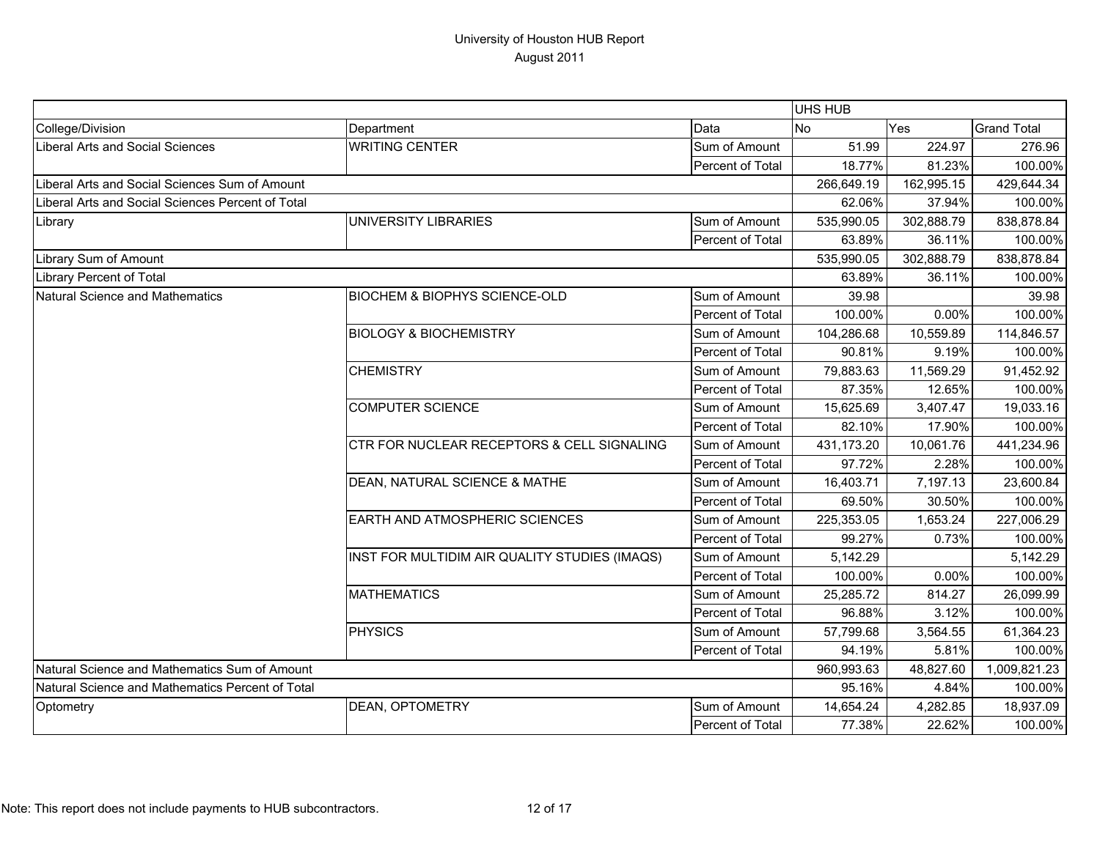|                                                   |                                               |                  | UHS HUB    |            |                    |
|---------------------------------------------------|-----------------------------------------------|------------------|------------|------------|--------------------|
| College/Division                                  | Department                                    | Data             | <b>No</b>  | Yes        | <b>Grand Total</b> |
| Liberal Arts and Social Sciences                  | <b>WRITING CENTER</b>                         | Sum of Amount    | 51.99      | 224.97     | 276.96             |
|                                                   |                                               | Percent of Total | 18.77%     | 81.23%     | 100.00%            |
| Liberal Arts and Social Sciences Sum of Amount    |                                               |                  | 266,649.19 | 162,995.15 | 429,644.34         |
| Liberal Arts and Social Sciences Percent of Total |                                               |                  | 62.06%     | 37.94%     | 100.00%            |
| Library                                           | UNIVERSITY LIBRARIES                          | Sum of Amount    | 535,990.05 | 302,888.79 | 838,878.84         |
|                                                   |                                               | Percent of Total | 63.89%     | 36.11%     | 100.00%            |
| Library Sum of Amount                             |                                               |                  | 535,990.05 | 302,888.79 | 838,878.84         |
| <b>Library Percent of Total</b>                   |                                               |                  | 63.89%     | 36.11%     | 100.00%            |
| Natural Science and Mathematics                   | <b>BIOCHEM &amp; BIOPHYS SCIENCE-OLD</b>      | Sum of Amount    | 39.98      |            | 39.98              |
|                                                   |                                               | Percent of Total | 100.00%    | 0.00%      | 100.00%            |
|                                                   | <b>BIOLOGY &amp; BIOCHEMISTRY</b>             | Sum of Amount    | 104,286.68 | 10,559.89  | 114,846.57         |
|                                                   |                                               | Percent of Total | 90.81%     | 9.19%      | 100.00%            |
|                                                   | <b>CHEMISTRY</b>                              | Sum of Amount    | 79,883.63  | 11,569.29  | 91,452.92          |
|                                                   |                                               | Percent of Total | 87.35%     | 12.65%     | 100.00%            |
|                                                   | <b>COMPUTER SCIENCE</b>                       | Sum of Amount    | 15,625.69  | 3,407.47   | 19,033.16          |
|                                                   |                                               | Percent of Total | 82.10%     | 17.90%     | 100.00%            |
|                                                   | CTR FOR NUCLEAR RECEPTORS & CELL SIGNALING    | Sum of Amount    | 431,173.20 | 10,061.76  | 441,234.96         |
|                                                   |                                               | Percent of Total | 97.72%     | 2.28%      | 100.00%            |
|                                                   | DEAN, NATURAL SCIENCE & MATHE                 | Sum of Amount    | 16,403.71  | 7,197.13   | 23,600.84          |
|                                                   |                                               | Percent of Total | 69.50%     | 30.50%     | 100.00%            |
|                                                   | EARTH AND ATMOSPHERIC SCIENCES                | Sum of Amount    | 225,353.05 | 1,653.24   | 227,006.29         |
|                                                   |                                               | Percent of Total | 99.27%     | 0.73%      | 100.00%            |
|                                                   | INST FOR MULTIDIM AIR QUALITY STUDIES (IMAQS) | Sum of Amount    | 5,142.29   |            | 5,142.29           |
|                                                   |                                               | Percent of Total | 100.00%    | 0.00%      | 100.00%            |
|                                                   | <b>MATHEMATICS</b>                            | Sum of Amount    | 25,285.72  | 814.27     | 26,099.99          |
|                                                   |                                               | Percent of Total | 96.88%     | 3.12%      | 100.00%            |
|                                                   | <b>PHYSICS</b>                                | Sum of Amount    | 57,799.68  | 3,564.55   | 61,364.23          |
|                                                   |                                               | Percent of Total | 94.19%     | 5.81%      | 100.00%            |
| Natural Science and Mathematics Sum of Amount     |                                               |                  | 960,993.63 | 48,827.60  | 1,009,821.23       |
| Natural Science and Mathematics Percent of Total  |                                               |                  | 95.16%     | 4.84%      | 100.00%            |
| Optometry                                         | DEAN, OPTOMETRY                               | Sum of Amount    | 14,654.24  | 4,282.85   | 18,937.09          |
|                                                   |                                               | Percent of Total | 77.38%     | 22.62%     | 100.00%            |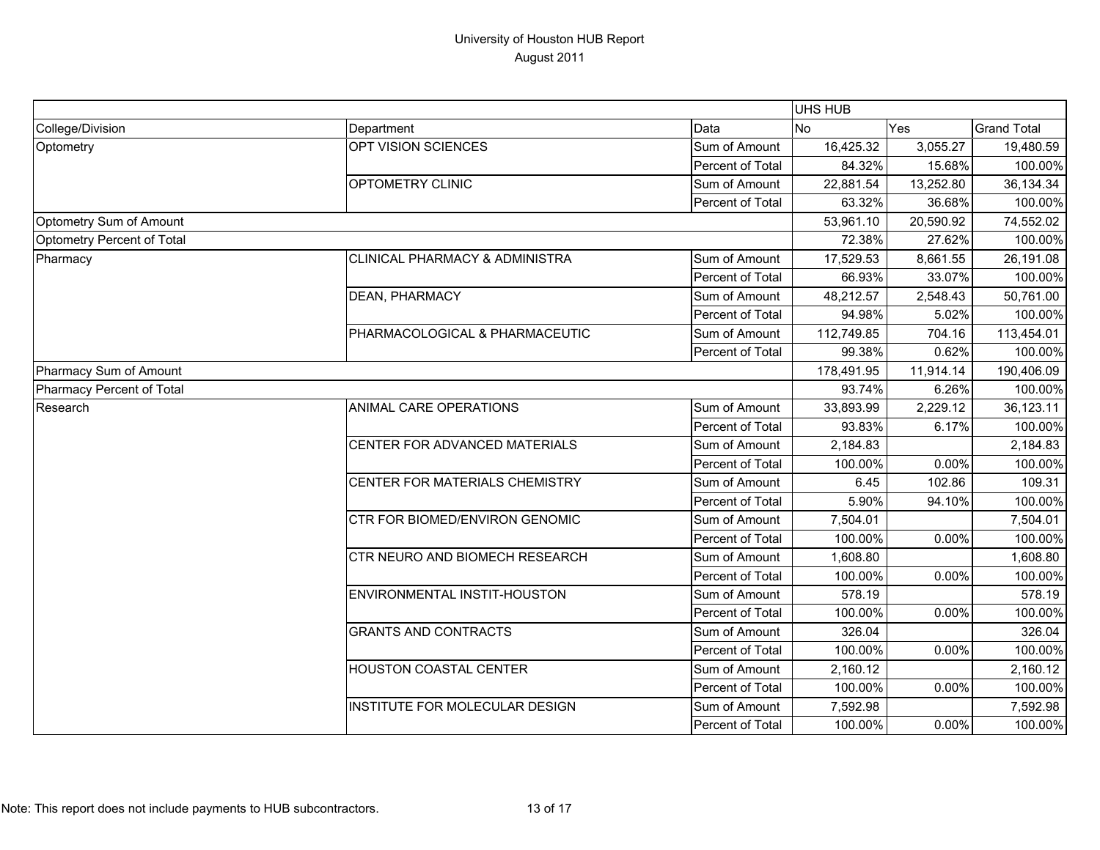|                            |                                       |                  | UHS HUB    |           |                    |
|----------------------------|---------------------------------------|------------------|------------|-----------|--------------------|
| College/Division           | Department                            | Data             | <b>No</b>  | Yes       | <b>Grand Total</b> |
| Optometry                  | OPT VISION SCIENCES                   | Sum of Amount    | 16,425.32  | 3,055.27  | 19,480.59          |
|                            |                                       | Percent of Total | 84.32%     | 15.68%    | 100.00%            |
|                            | OPTOMETRY CLINIC                      | Sum of Amount    | 22,881.54  | 13,252.80 | 36,134.34          |
|                            |                                       | Percent of Total | 63.32%     | 36.68%    | 100.00%            |
| Optometry Sum of Amount    |                                       | 53,961.10        | 20,590.92  | 74,552.02 |                    |
| Optometry Percent of Total |                                       |                  | 72.38%     | 27.62%    | 100.00%            |
| Pharmacy                   | CLINICAL PHARMACY & ADMINISTRA        | Sum of Amount    | 17,529.53  | 8,661.55  | 26,191.08          |
|                            |                                       | Percent of Total | 66.93%     | 33.07%    | 100.00%            |
|                            | <b>DEAN, PHARMACY</b>                 | Sum of Amount    | 48,212.57  | 2,548.43  | 50,761.00          |
|                            |                                       | Percent of Total | 94.98%     | 5.02%     | 100.00%            |
|                            | PHARMACOLOGICAL & PHARMACEUTIC        | Sum of Amount    | 112,749.85 | 704.16    | 113,454.01         |
|                            |                                       | Percent of Total | 99.38%     | 0.62%     | 100.00%            |
| Pharmacy Sum of Amount     |                                       |                  | 178,491.95 | 11,914.14 | 190,406.09         |
| Pharmacy Percent of Total  |                                       |                  | 93.74%     | 6.26%     | 100.00%            |
| Research                   | ANIMAL CARE OPERATIONS                | Sum of Amount    | 33,893.99  | 2,229.12  | 36,123.11          |
|                            |                                       | Percent of Total | 93.83%     | 6.17%     | 100.00%            |
|                            | CENTER FOR ADVANCED MATERIALS         | Sum of Amount    | 2,184.83   |           | 2,184.83           |
|                            |                                       | Percent of Total | 100.00%    | 0.00%     | 100.00%            |
|                            | CENTER FOR MATERIALS CHEMISTRY        | Sum of Amount    | 6.45       | 102.86    | 109.31             |
|                            |                                       | Percent of Total | 5.90%      | 94.10%    | 100.00%            |
|                            | <b>CTR FOR BIOMED/ENVIRON GENOMIC</b> | Sum of Amount    | 7,504.01   |           | 7,504.01           |
|                            |                                       | Percent of Total | 100.00%    | 0.00%     | 100.00%            |
|                            | CTR NEURO AND BIOMECH RESEARCH        | Sum of Amount    | 1,608.80   |           | 1,608.80           |
|                            |                                       | Percent of Total | 100.00%    | 0.00%     | 100.00%            |
|                            | ENVIRONMENTAL INSTIT-HOUSTON          | Sum of Amount    | 578.19     |           | 578.19             |
|                            |                                       | Percent of Total | 100.00%    | 0.00%     | 100.00%            |
|                            | <b>GRANTS AND CONTRACTS</b>           | Sum of Amount    | 326.04     |           | 326.04             |
|                            |                                       | Percent of Total | 100.00%    | 0.00%     | 100.00%            |
|                            | <b>HOUSTON COASTAL CENTER</b>         | Sum of Amount    | 2,160.12   |           | 2,160.12           |
|                            |                                       | Percent of Total | 100.00%    | 0.00%     | 100.00%            |
|                            | INSTITUTE FOR MOLECULAR DESIGN        | Sum of Amount    | 7,592.98   |           | 7,592.98           |
|                            |                                       | Percent of Total | 100.00%    | 0.00%     | 100.00%            |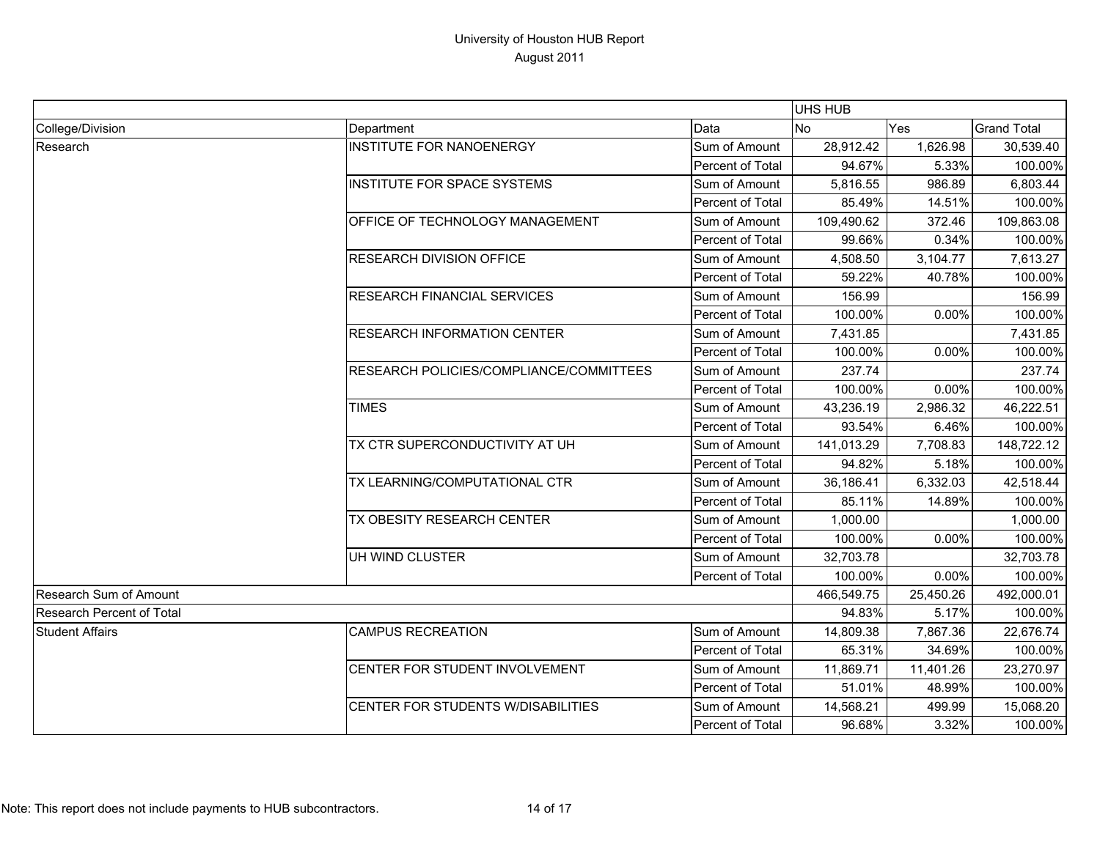|                                  |                                         | UHS HUB                 |                |            |                    |
|----------------------------------|-----------------------------------------|-------------------------|----------------|------------|--------------------|
| College/Division                 | Department                              | Data                    | N <sub>o</sub> | Yes        | <b>Grand Total</b> |
| Research                         | <b>INSTITUTE FOR NANOENERGY</b>         | Sum of Amount           | 28,912.42      | 1,626.98   | 30,539.40          |
|                                  |                                         | Percent of Total        | 94.67%         | 5.33%      | 100.00%            |
|                                  | <b>INSTITUTE FOR SPACE SYSTEMS</b>      | Sum of Amount           | 5,816.55       | 986.89     | 6,803.44           |
|                                  |                                         | Percent of Total        | 85.49%         | 14.51%     | 100.00%            |
|                                  | OFFICE OF TECHNOLOGY MANAGEMENT         | Sum of Amount           | 109,490.62     | 372.46     | 109,863.08         |
|                                  |                                         | Percent of Total        | 99.66%         | 0.34%      | 100.00%            |
|                                  | <b>RESEARCH DIVISION OFFICE</b>         | Sum of Amount           | 4,508.50       | 3,104.77   | 7,613.27           |
|                                  |                                         | Percent of Total        | 59.22%         | 40.78%     | 100.00%            |
|                                  | RESEARCH FINANCIAL SERVICES             | Sum of Amount           | 156.99         |            | 156.99             |
|                                  |                                         | Percent of Total        | 100.00%        | 0.00%      | 100.00%            |
|                                  | <b>RESEARCH INFORMATION CENTER</b>      | Sum of Amount           | 7,431.85       |            | 7,431.85           |
|                                  |                                         | Percent of Total        | 100.00%        | 0.00%      | 100.00%            |
|                                  | RESEARCH POLICIES/COMPLIANCE/COMMITTEES | Sum of Amount           | 237.74         |            | 237.74             |
|                                  |                                         | <b>Percent of Total</b> | 100.00%        | 0.00%      | 100.00%            |
|                                  | <b>TIMES</b>                            | Sum of Amount           | 43,236.19      | 2,986.32   | 46,222.51          |
|                                  |                                         | Percent of Total        | 93.54%         | 6.46%      | 100.00%            |
|                                  | TX CTR SUPERCONDUCTIVITY AT UH          | Sum of Amount           | 141,013.29     | 7,708.83   | 148,722.12         |
|                                  |                                         | Percent of Total        | 94.82%         | 5.18%      | 100.00%            |
|                                  | TX LEARNING/COMPUTATIONAL CTR           | Sum of Amount           | 36,186.41      | 6,332.03   | 42,518.44          |
|                                  |                                         | Percent of Total        | 85.11%         | 14.89%     | 100.00%            |
|                                  | TX OBESITY RESEARCH CENTER              | Sum of Amount           | 1,000.00       |            | 1,000.00           |
|                                  |                                         | Percent of Total        | 100.00%        | 0.00%      | 100.00%            |
|                                  | UH WIND CLUSTER                         | Sum of Amount           | 32,703.78      |            | 32,703.78          |
|                                  |                                         | Percent of Total        | 100.00%        | 0.00%      | 100.00%            |
| Research Sum of Amount           |                                         | 466,549.75              | 25,450.26      | 492,000.01 |                    |
| <b>Research Percent of Total</b> |                                         | 94.83%                  | 5.17%          | 100.00%    |                    |
| <b>Student Affairs</b>           | <b>CAMPUS RECREATION</b>                | Sum of Amount           | 14,809.38      | 7,867.36   | 22,676.74          |
|                                  |                                         | Percent of Total        | 65.31%         | 34.69%     | 100.00%            |
|                                  | CENTER FOR STUDENT INVOLVEMENT          | Sum of Amount           | 11,869.71      | 11,401.26  | 23,270.97          |
|                                  |                                         | <b>Percent of Total</b> | 51.01%         | 48.99%     | 100.00%            |
|                                  | CENTER FOR STUDENTS W/DISABILITIES      | Sum of Amount           | 14,568.21      | 499.99     | 15,068.20          |
|                                  |                                         | Percent of Total        | 96.68%         | 3.32%      | 100.00%            |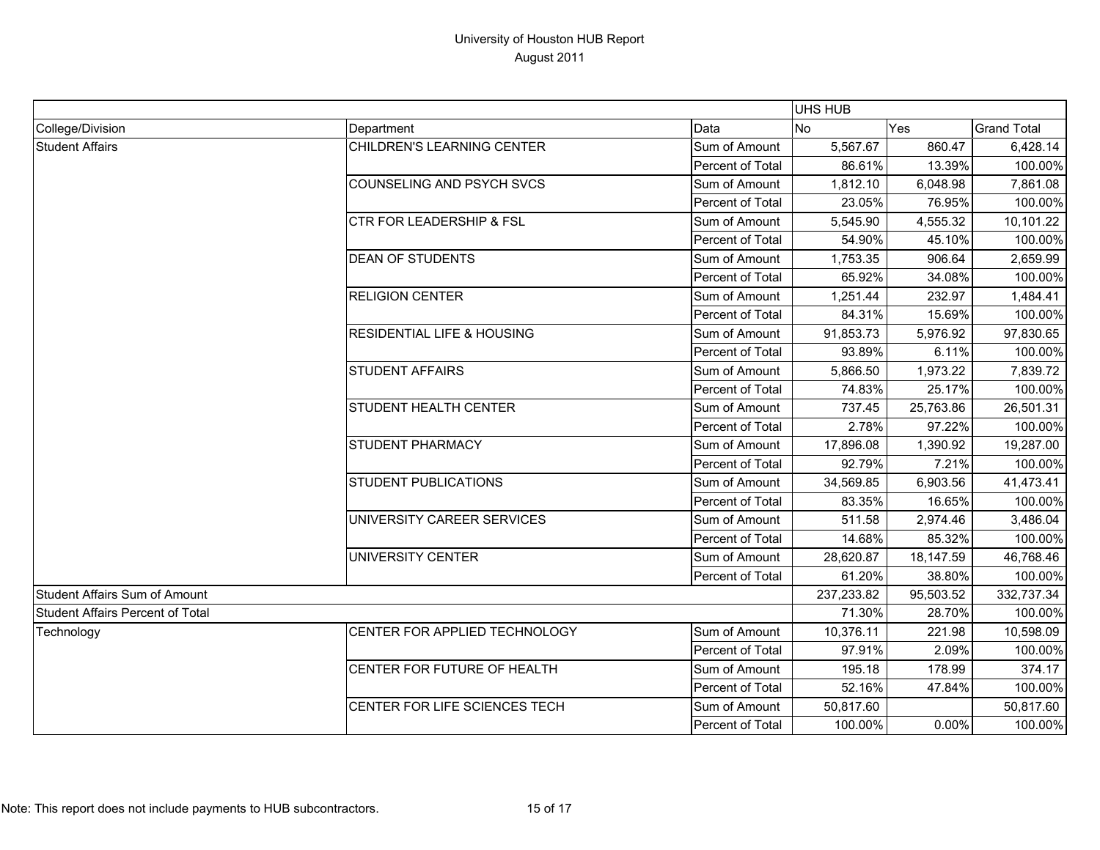|                                         |                                       |                         | UHS HUB        |            |                    |
|-----------------------------------------|---------------------------------------|-------------------------|----------------|------------|--------------------|
| College/Division                        | Department                            | Data                    | N <sub>o</sub> | Yes        | <b>Grand Total</b> |
| <b>Student Affairs</b>                  | CHILDREN'S LEARNING CENTER            | Sum of Amount           | 5,567.67       | 860.47     | 6,428.14           |
|                                         |                                       | Percent of Total        | 86.61%         | 13.39%     | 100.00%            |
|                                         | COUNSELING AND PSYCH SVCS             | Sum of Amount           | 1,812.10       | 6,048.98   | 7,861.08           |
|                                         |                                       | Percent of Total        | 23.05%         | 76.95%     | 100.00%            |
|                                         | <b>CTR FOR LEADERSHIP &amp; FSL</b>   | Sum of Amount           | 5,545.90       | 4,555.32   | 10,101.22          |
|                                         |                                       | Percent of Total        | 54.90%         | 45.10%     | 100.00%            |
|                                         | <b>DEAN OF STUDENTS</b>               | Sum of Amount           | 1,753.35       | 906.64     | 2,659.99           |
|                                         |                                       | Percent of Total        | 65.92%         | 34.08%     | 100.00%            |
|                                         | <b>RELIGION CENTER</b>                | Sum of Amount           | 1,251.44       | 232.97     | 1,484.41           |
|                                         |                                       | Percent of Total        | 84.31%         | 15.69%     | 100.00%            |
|                                         | <b>RESIDENTIAL LIFE &amp; HOUSING</b> | Sum of Amount           | 91,853.73      | 5,976.92   | 97,830.65          |
|                                         |                                       | Percent of Total        | 93.89%         | 6.11%      | 100.00%            |
|                                         | <b>STUDENT AFFAIRS</b>                | Sum of Amount           | 5,866.50       | 1,973.22   | 7,839.72           |
|                                         |                                       | Percent of Total        | 74.83%         | 25.17%     | 100.00%            |
|                                         | STUDENT HEALTH CENTER                 | Sum of Amount           | 737.45         | 25,763.86  | 26,501.31          |
|                                         |                                       | Percent of Total        | 2.78%          | 97.22%     | 100.00%            |
|                                         | STUDENT PHARMACY                      | Sum of Amount           | 17,896.08      | 1,390.92   | 19,287.00          |
|                                         |                                       | Percent of Total        | 92.79%         | 7.21%      | 100.00%            |
|                                         | <b>STUDENT PUBLICATIONS</b>           | Sum of Amount           | 34,569.85      | 6,903.56   | 41,473.41          |
|                                         |                                       | Percent of Total        | 83.35%         | 16.65%     | 100.00%            |
|                                         | UNIVERSITY CAREER SERVICES            | Sum of Amount           | 511.58         | 2,974.46   | 3,486.04           |
|                                         |                                       | Percent of Total        | 14.68%         | 85.32%     | 100.00%            |
|                                         | UNIVERSITY CENTER                     | Sum of Amount           | 28,620.87      | 18,147.59  | 46,768.46          |
|                                         |                                       | Percent of Total        | 61.20%         | 38.80%     | 100.00%            |
| <b>Student Affairs Sum of Amount</b>    |                                       | 237,233.82              | 95,503.52      | 332,737.34 |                    |
| <b>Student Affairs Percent of Total</b> |                                       | 71.30%                  | 28.70%         | 100.00%    |                    |
| Technology                              | CENTER FOR APPLIED TECHNOLOGY         | Sum of Amount           | 10,376.11      | 221.98     | 10,598.09          |
|                                         |                                       | Percent of Total        | 97.91%         | 2.09%      | 100.00%            |
|                                         | CENTER FOR FUTURE OF HEALTH           | Sum of Amount           | 195.18         | 178.99     | 374.17             |
|                                         |                                       | Percent of Total        | 52.16%         | 47.84%     | 100.00%            |
|                                         | CENTER FOR LIFE SCIENCES TECH         | Sum of Amount           | 50,817.60      |            | 50,817.60          |
|                                         |                                       | <b>Percent of Total</b> | 100.00%        | 0.00%      | 100.00%            |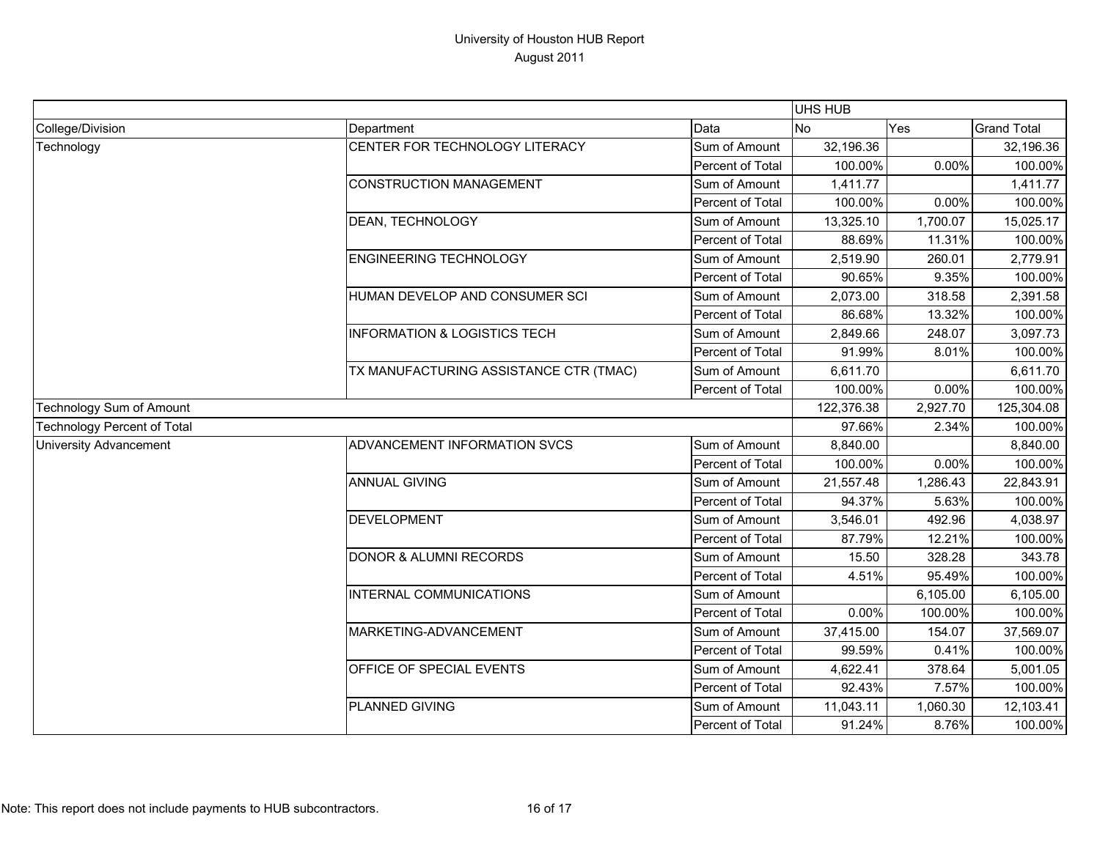|                                    |                                         |                  | UHS HUB   |            |                    |
|------------------------------------|-----------------------------------------|------------------|-----------|------------|--------------------|
| College/Division                   | Department                              | Data             | <b>No</b> | Yes        | <b>Grand Total</b> |
| Technology                         | CENTER FOR TECHNOLOGY LITERACY          | Sum of Amount    | 32,196.36 |            | 32,196.36          |
|                                    |                                         | Percent of Total | 100.00%   | 0.00%      | 100.00%            |
|                                    | <b>CONSTRUCTION MANAGEMENT</b>          | Sum of Amount    | 1,411.77  |            | 1,411.77           |
|                                    |                                         | Percent of Total | 100.00%   | 0.00%      | 100.00%            |
|                                    | DEAN, TECHNOLOGY                        | Sum of Amount    | 13,325.10 | 1,700.07   | 15,025.17          |
|                                    |                                         | Percent of Total | 88.69%    | 11.31%     | 100.00%            |
|                                    | <b>ENGINEERING TECHNOLOGY</b>           | Sum of Amount    | 2,519.90  | 260.01     | 2,779.91           |
|                                    |                                         | Percent of Total | 90.65%    | 9.35%      | 100.00%            |
|                                    | HUMAN DEVELOP AND CONSUMER SCI          | Sum of Amount    | 2,073.00  | 318.58     | 2,391.58           |
|                                    |                                         | Percent of Total | 86.68%    | 13.32%     | 100.00%            |
|                                    | <b>INFORMATION &amp; LOGISTICS TECH</b> | Sum of Amount    | 2,849.66  | 248.07     | 3,097.73           |
|                                    |                                         | Percent of Total | 91.99%    | 8.01%      | 100.00%            |
|                                    | TX MANUFACTURING ASSISTANCE CTR (TMAC)  | Sum of Amount    | 6,611.70  |            | 6,611.70           |
|                                    |                                         | Percent of Total | 100.00%   | 0.00%      | 100.00%            |
| Technology Sum of Amount           |                                         | 122,376.38       | 2,927.70  | 125,304.08 |                    |
| <b>Technology Percent of Total</b> |                                         |                  | 97.66%    | 2.34%      | 100.00%            |
| <b>University Advancement</b>      | ADVANCEMENT INFORMATION SVCS            | Sum of Amount    | 8,840.00  |            | 8,840.00           |
|                                    |                                         | Percent of Total | 100.00%   | 0.00%      | 100.00%            |
|                                    | <b>ANNUAL GIVING</b>                    | Sum of Amount    | 21,557.48 | 1,286.43   | 22,843.91          |
|                                    |                                         | Percent of Total | 94.37%    | 5.63%      | 100.00%            |
|                                    | <b>DEVELOPMENT</b>                      | Sum of Amount    | 3,546.01  | 492.96     | 4,038.97           |
|                                    |                                         | Percent of Total | 87.79%    | 12.21%     | 100.00%            |
|                                    | <b>DONOR &amp; ALUMNI RECORDS</b>       | Sum of Amount    | 15.50     | 328.28     | 343.78             |
|                                    |                                         | Percent of Total | 4.51%     | 95.49%     | 100.00%            |
|                                    | INTERNAL COMMUNICATIONS                 | Sum of Amount    |           | 6,105.00   | 6,105.00           |
|                                    |                                         | Percent of Total | 0.00%     | 100.00%    | 100.00%            |
|                                    | MARKETING-ADVANCEMENT                   | Sum of Amount    | 37,415.00 | 154.07     | 37,569.07          |
|                                    |                                         | Percent of Total | 99.59%    | 0.41%      | 100.00%            |
|                                    | OFFICE OF SPECIAL EVENTS                | Sum of Amount    | 4,622.41  | 378.64     | 5,001.05           |
|                                    |                                         | Percent of Total | 92.43%    | 7.57%      | 100.00%            |
|                                    | <b>PLANNED GIVING</b>                   | Sum of Amount    | 11,043.11 | 1,060.30   | 12,103.41          |
|                                    |                                         | Percent of Total | 91.24%    | 8.76%      | 100.00%            |